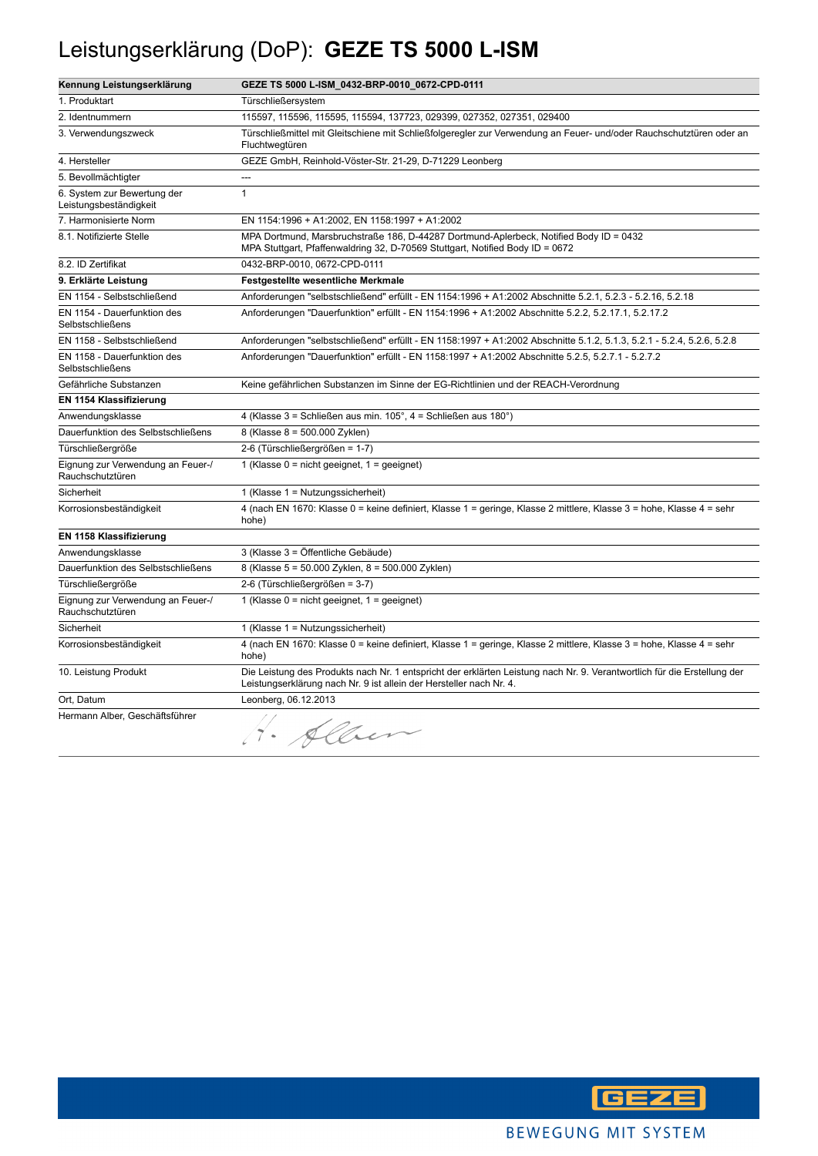### Leistungserklärung (DoP): **GEZE TS 5000 L-ISM**

| Kennung Leistungserklärung                            | GEZE TS 5000 L-ISM_0432-BRP-0010_0672-CPD-0111                                                                                                                                                  |
|-------------------------------------------------------|-------------------------------------------------------------------------------------------------------------------------------------------------------------------------------------------------|
| 1. Produktart                                         | Türschließersystem                                                                                                                                                                              |
| 2. Identnummern                                       | 115597, 115596, 115595, 115594, 137723, 029399, 027352, 027351, 029400                                                                                                                          |
| 3. Verwendungszweck                                   | Türschließmittel mit Gleitschiene mit Schließfolgeregler zur Verwendung an Feuer- und/oder Rauchschutztüren oder an<br>Fluchtwegtüren                                                           |
| 4. Hersteller                                         | GEZE GmbH, Reinhold-Vöster-Str. 21-29, D-71229 Leonberg                                                                                                                                         |
| 5. Bevollmächtigter                                   |                                                                                                                                                                                                 |
| 6. System zur Bewertung der<br>Leistungsbeständigkeit | $\mathbf{1}$                                                                                                                                                                                    |
| 7. Harmonisierte Norm                                 | EN 1154:1996 + A1:2002, EN 1158:1997 + A1:2002                                                                                                                                                  |
| 8.1. Notifizierte Stelle                              | MPA Dortmund, Marsbruchstraße 186, D-44287 Dortmund-Aplerbeck, Notified Body ID = 0432<br>MPA Stuttgart, Pfaffenwaldring 32, D-70569 Stuttgart, Notified Body ID = 0672                         |
| 8.2. ID Zertifikat                                    | 0432-BRP-0010, 0672-CPD-0111                                                                                                                                                                    |
| 9. Erklärte Leistung                                  | <b>Festgestellte wesentliche Merkmale</b>                                                                                                                                                       |
| EN 1154 - Selbstschließend                            | Anforderungen "selbstschließend" erfüllt - EN 1154:1996 + A1:2002 Abschnitte 5.2.1, 5.2.3 - 5.2.16, 5.2.18                                                                                      |
| EN 1154 - Dauerfunktion des<br>Selbstschließens       | Anforderungen "Dauerfunktion" erfüllt - EN 1154:1996 + A1:2002 Abschnitte 5.2.2, 5.2.17.1, 5.2.17.2                                                                                             |
| EN 1158 - Selbstschließend                            | Anforderungen "selbstschließend" erfüllt - EN 1158:1997 + A1:2002 Abschnitte 5.1.2, 5.1.3, 5.2.1 - 5.2.4, 5.2.6, 5.2.8                                                                          |
| EN 1158 - Dauerfunktion des<br>Selbstschließens       | Anforderungen "Dauerfunktion" erfüllt - EN 1158:1997 + A1:2002 Abschnitte 5.2.5, 5.2.7.1 - 5.2.7.2                                                                                              |
| Gefährliche Substanzen                                | Keine gefährlichen Substanzen im Sinne der EG-Richtlinien und der REACH-Verordnung                                                                                                              |
| EN 1154 Klassifizierung                               |                                                                                                                                                                                                 |
| Anwendungsklasse                                      | 4 (Klasse 3 = Schließen aus min. 105°, 4 = Schließen aus 180°)                                                                                                                                  |
| Dauerfunktion des Selbstschließens                    | 8 (Klasse 8 = 500.000 Zyklen)                                                                                                                                                                   |
| <b>Türschließergröße</b>                              | 2-6 (Türschließergrößen = 1-7)                                                                                                                                                                  |
| Eignung zur Verwendung an Feuer-/<br>Rauchschutztüren | 1 (Klasse $0 = \text{nicht}$ geeignet, $1 = \text{geeignet}$ )                                                                                                                                  |
| Sicherheit                                            | 1 (Klasse $1 =$ Nutzungssicherheit)                                                                                                                                                             |
| Korrosionsbeständigkeit                               | 4 (nach EN 1670: Klasse 0 = keine definiert, Klasse 1 = geringe, Klasse 2 mittlere, Klasse 3 = hohe, Klasse 4 = sehr<br>hohe)                                                                   |
| EN 1158 Klassifizierung                               |                                                                                                                                                                                                 |
| Anwendungsklasse                                      | 3 (Klasse 3 = Öffentliche Gebäude)                                                                                                                                                              |
| Dauerfunktion des Selbstschließens                    | 8 (Klasse 5 = 50.000 Zyklen, 8 = 500.000 Zyklen)                                                                                                                                                |
| Türschließergröße                                     | 2-6 (Türschließergrößen = 3-7)                                                                                                                                                                  |
| Eignung zur Verwendung an Feuer-/<br>Rauchschutztüren | 1 (Klasse $0 = \text{nicht}$ geeignet, $1 = \text{geeignet}$ )                                                                                                                                  |
| Sicherheit                                            | 1 (Klasse 1 = Nutzungssicherheit)                                                                                                                                                               |
| Korrosionsbeständigkeit                               | 4 (nach EN 1670: Klasse 0 = keine definiert, Klasse 1 = geringe, Klasse 2 mittlere, Klasse 3 = hohe, Klasse 4 = sehr<br>hohe)                                                                   |
| 10. Leistung Produkt                                  | Die Leistung des Produkts nach Nr. 1 entspricht der erklärten Leistung nach Nr. 9. Verantwortlich für die Erstellung der<br>Leistungserklärung nach Nr. 9 ist allein der Hersteller nach Nr. 4. |
| Ort, Datum                                            | Leonberg, 06.12.2013                                                                                                                                                                            |
| Hermann Alber, Geschäftsführer                        | Alber                                                                                                                                                                                           |

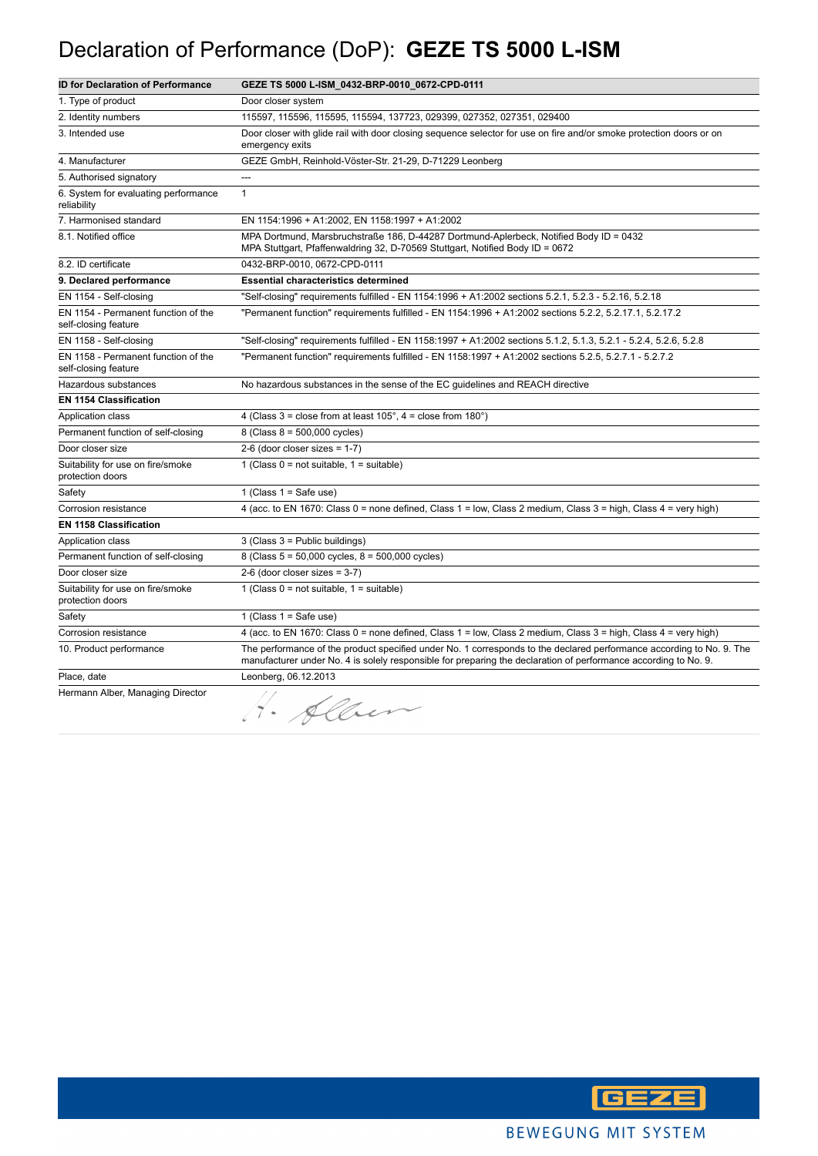### Declaration of Performance (DoP): **GEZE TS 5000 L-ISM**

| <b>ID for Declaration of Performance</b>                    | GEZE TS 5000 L-ISM_0432-BRP-0010_0672-CPD-0111                                                                                                                                                                                          |
|-------------------------------------------------------------|-----------------------------------------------------------------------------------------------------------------------------------------------------------------------------------------------------------------------------------------|
| 1. Type of product                                          | Door closer system                                                                                                                                                                                                                      |
| 2. Identity numbers                                         | 115597, 115596, 115595, 115594, 137723, 029399, 027352, 027351, 029400                                                                                                                                                                  |
| 3. Intended use                                             | Door closer with glide rail with door closing sequence selector for use on fire and/or smoke protection doors or on<br>emergency exits                                                                                                  |
| 4. Manufacturer                                             | GEZE GmbH, Reinhold-Vöster-Str. 21-29, D-71229 Leonberg                                                                                                                                                                                 |
| 5. Authorised signatory                                     | ---                                                                                                                                                                                                                                     |
| 6. System for evaluating performance<br>reliability         | $\mathbf{1}$                                                                                                                                                                                                                            |
| 7. Harmonised standard                                      | EN 1154:1996 + A1:2002, EN 1158:1997 + A1:2002                                                                                                                                                                                          |
| 8.1. Notified office                                        | MPA Dortmund, Marsbruchstraße 186, D-44287 Dortmund-Aplerbeck, Notified Body ID = 0432<br>MPA Stuttgart, Pfaffenwaldring 32, D-70569 Stuttgart, Notified Body ID = 0672                                                                 |
| 8.2. ID certificate                                         | 0432-BRP-0010, 0672-CPD-0111                                                                                                                                                                                                            |
| 9. Declared performance                                     | <b>Essential characteristics determined</b>                                                                                                                                                                                             |
| EN 1154 - Self-closing                                      | "Self-closing" requirements fulfilled - EN 1154:1996 + A1:2002 sections 5.2.1, 5.2.3 - 5.2.16, 5.2.18                                                                                                                                   |
| EN 1154 - Permanent function of the<br>self-closing feature | "Permanent function" requirements fulfilled - EN 1154:1996 + A1:2002 sections 5.2.2, 5.2.17.1, 5.2.17.2                                                                                                                                 |
| EN 1158 - Self-closing                                      | "Self-closing" requirements fulfilled - EN 1158:1997 + A1:2002 sections 5.1.2, 5.1.3, 5.2.1 - 5.2.4, 5.2.6, 5.2.8                                                                                                                       |
| EN 1158 - Permanent function of the<br>self-closing feature | "Permanent function" requirements fulfilled - EN 1158:1997 + A1:2002 sections 5.2.5, 5.2.7.1 - 5.2.7.2                                                                                                                                  |
| Hazardous substances                                        | No hazardous substances in the sense of the EC guidelines and REACH directive                                                                                                                                                           |
| <b>EN 1154 Classification</b>                               |                                                                                                                                                                                                                                         |
| Application class                                           | 4 (Class $3 =$ close from at least $105^{\circ}$ , $4 =$ close from $180^{\circ}$ )                                                                                                                                                     |
| Permanent function of self-closing                          | 8 (Class 8 = 500,000 cycles)                                                                                                                                                                                                            |
| Door closer size                                            | $2-6$ (door closer sizes = 1-7)                                                                                                                                                                                                         |
| Suitability for use on fire/smoke<br>protection doors       | 1 (Class $0 = not suitable$ , $1 = suitable$ )                                                                                                                                                                                          |
| Safety                                                      | 1 (Class $1 =$ Safe use)                                                                                                                                                                                                                |
| Corrosion resistance                                        | 4 (acc. to EN 1670: Class 0 = none defined, Class 1 = low, Class 2 medium, Class 3 = high, Class 4 = very high)                                                                                                                         |
| <b>EN 1158 Classification</b>                               |                                                                                                                                                                                                                                         |
| Application class                                           | $3$ (Class $3$ = Public buildings)                                                                                                                                                                                                      |
| Permanent function of self-closing                          | 8 (Class $5 = 50,000$ cycles, $8 = 500,000$ cycles)                                                                                                                                                                                     |
| Door closer size                                            | 2-6 (door closer sizes = $3-7$ )                                                                                                                                                                                                        |
| Suitability for use on fire/smoke<br>protection doors       | 1 (Class $0 = not suitable$ , $1 = suitable$ )                                                                                                                                                                                          |
| Safety                                                      | 1 (Class $1 =$ Safe use)                                                                                                                                                                                                                |
| Corrosion resistance                                        | 4 (acc. to EN 1670: Class 0 = none defined, Class 1 = low, Class 2 medium, Class 3 = high, Class 4 = very high)                                                                                                                         |
| 10. Product performance                                     | The performance of the product specified under No. 1 corresponds to the declared performance according to No. 9. The<br>manufacturer under No. 4 is solely responsible for preparing the declaration of performance according to No. 9. |
| Place, date                                                 | Leonberg, 06.12.2013                                                                                                                                                                                                                    |
| Hermann Alber, Managing Director                            | H. Alben                                                                                                                                                                                                                                |

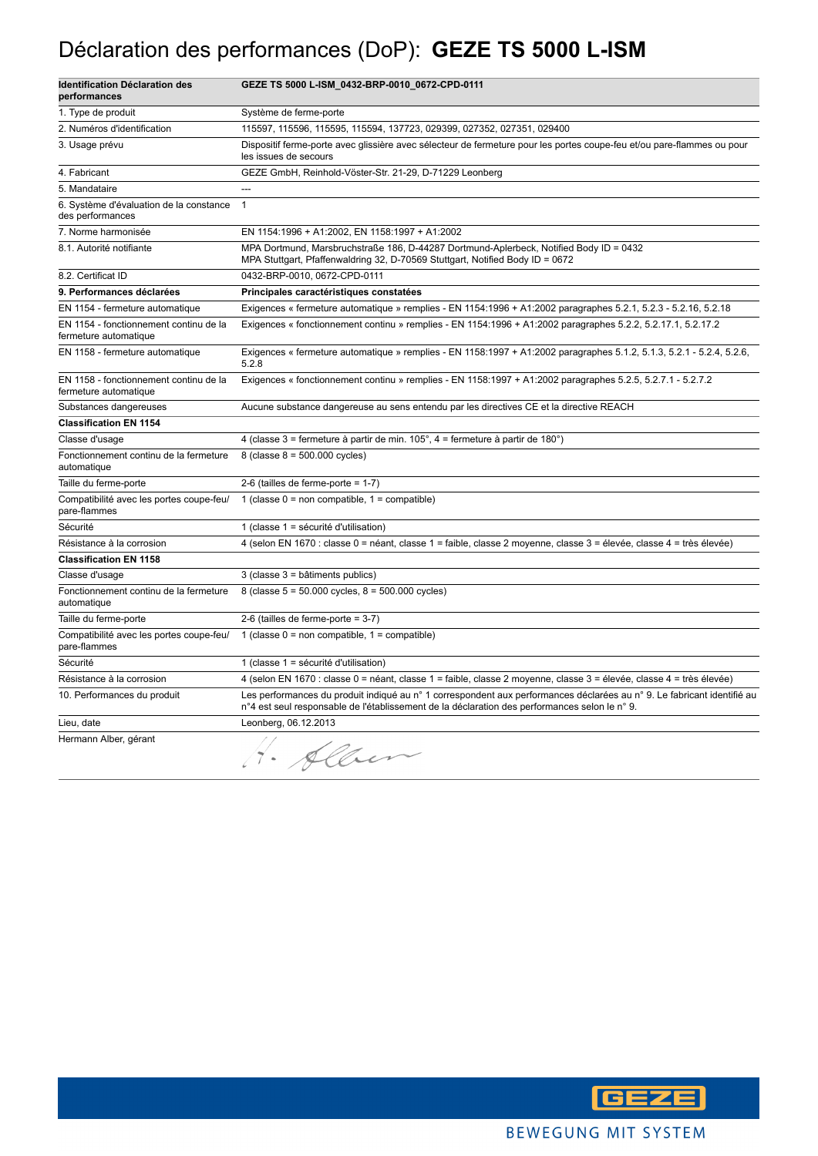### Déclaration des performances (DoP): **GEZE TS 5000 L-ISM**

| <b>Identification Déclaration des</b><br>performances           | GEZE TS 5000 L-ISM_0432-BRP-0010_0672-CPD-0111                                                                                                                                                                          |
|-----------------------------------------------------------------|-------------------------------------------------------------------------------------------------------------------------------------------------------------------------------------------------------------------------|
| 1. Type de produit                                              | Système de ferme-porte                                                                                                                                                                                                  |
| 2. Numéros d'identification                                     | 115597, 115596, 115595, 115594, 137723, 029399, 027352, 027351, 029400                                                                                                                                                  |
| 3. Usage prévu                                                  | Dispositif ferme-porte avec glissière avec sélecteur de fermeture pour les portes coupe-feu et/ou pare-flammes ou pour<br>les issues de secours                                                                         |
| 4. Fabricant                                                    | GEZE GmbH, Reinhold-Vöster-Str. 21-29, D-71229 Leonberg                                                                                                                                                                 |
| 5. Mandataire                                                   | $\overline{a}$                                                                                                                                                                                                          |
| 6. Système d'évaluation de la constance<br>des performances     | $\mathbf{1}$                                                                                                                                                                                                            |
| 7. Norme harmonisée                                             | EN 1154:1996 + A1:2002, EN 1158:1997 + A1:2002                                                                                                                                                                          |
| 8.1. Autorité notifiante                                        | MPA Dortmund, Marsbruchstraße 186, D-44287 Dortmund-Aplerbeck, Notified Body ID = 0432<br>MPA Stuttgart, Pfaffenwaldring 32, D-70569 Stuttgart, Notified Body ID = 0672                                                 |
| 8.2. Certificat ID                                              | 0432-BRP-0010, 0672-CPD-0111                                                                                                                                                                                            |
| 9. Performances déclarées                                       | Principales caractéristiques constatées                                                                                                                                                                                 |
| EN 1154 - fermeture automatique                                 | Exigences « fermeture automatique » remplies - EN 1154:1996 + A1:2002 paragraphes 5.2.1, 5.2.3 - 5.2.16, 5.2.18                                                                                                         |
| EN 1154 - fonctionnement continu de la<br>fermeture automatique | Exigences « fonctionnement continu » remplies - EN 1154:1996 + A1:2002 paragraphes 5.2.2, 5.2.17.1, 5.2.17.2                                                                                                            |
| EN 1158 - fermeture automatique                                 | Exigences « fermeture automatique » remplies - EN 1158:1997 + A1:2002 paragraphes 5.1.2, 5.1.3, 5.2.1 - 5.2.4, 5.2.6,<br>5.2.8                                                                                          |
| EN 1158 - fonctionnement continu de la<br>fermeture automatique | Exigences « fonctionnement continu » remplies - EN 1158:1997 + A1:2002 paragraphes 5.2.5, 5.2.7.1 - 5.2.7.2                                                                                                             |
| Substances dangereuses                                          | Aucune substance dangereuse au sens entendu par les directives CE et la directive REACH                                                                                                                                 |
| <b>Classification EN 1154</b>                                   |                                                                                                                                                                                                                         |
| Classe d'usage                                                  | 4 (classe 3 = fermeture à partir de min. $105^{\circ}$ , 4 = fermeture à partir de 180 <sup>o</sup> )                                                                                                                   |
| Fonctionnement continu de la fermeture<br>automatique           | 8 (classe $8 = 500.000$ cycles)                                                                                                                                                                                         |
| Taille du ferme-porte                                           | 2-6 (tailles de ferme-porte = $1-7$ )                                                                                                                                                                                   |
| Compatibilité avec les portes coupe-feu/<br>pare-flammes        | 1 (classe $0 =$ non compatible, $1 =$ compatible)                                                                                                                                                                       |
| Sécurité                                                        | 1 (classe 1 = sécurité d'utilisation)                                                                                                                                                                                   |
| Résistance à la corrosion                                       | 4 (selon EN 1670 : classe 0 = néant, classe 1 = faible, classe 2 moyenne, classe 3 = élevée, classe 4 = très élevée)                                                                                                    |
| <b>Classification EN 1158</b>                                   |                                                                                                                                                                                                                         |
| Classe d'usage                                                  | 3 (classe 3 = bâtiments publics)                                                                                                                                                                                        |
| Fonctionnement continu de la fermeture<br>automatique           | 8 (classe $5 = 50.000$ cycles, $8 = 500.000$ cycles)                                                                                                                                                                    |
| Taille du ferme-porte                                           | 2-6 (tailles de ferme-porte = $3-7$ )                                                                                                                                                                                   |
| Compatibilité avec les portes coupe-feu/<br>pare-flammes        | 1 (classe $0 =$ non compatible, $1 =$ compatible)                                                                                                                                                                       |
| Sécurité                                                        | 1 (classe 1 = sécurité d'utilisation)                                                                                                                                                                                   |
| Résistance à la corrosion                                       | 4 (selon EN 1670 : classe 0 = néant, classe 1 = faible, classe 2 moyenne, classe 3 = élevée, classe 4 = très élevée)                                                                                                    |
| 10. Performances du produit                                     | Les performances du produit indiqué au n° 1 correspondent aux performances déclarées au n° 9. Le fabricant identifié au<br>n°4 est seul responsable de l'établissement de la déclaration des performances selon le n°9. |
| Lieu, date                                                      | Leonberg, 06.12.2013                                                                                                                                                                                                    |
| Hermann Alber, gérant                                           | H. Alber                                                                                                                                                                                                                |

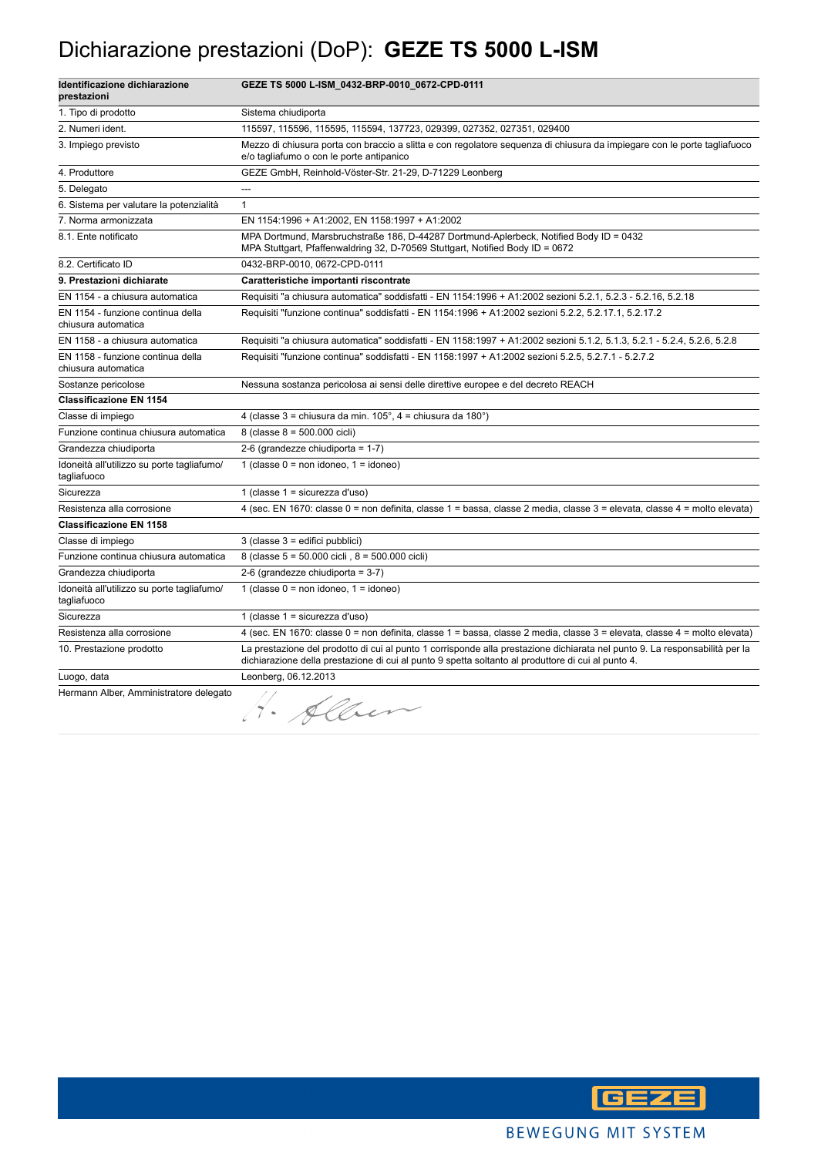### Dichiarazione prestazioni (DoP): **GEZE TS 5000 L-ISM**

| Identificazione dichiarazione<br>prestazioni              | GEZE TS 5000 L-ISM_0432-BRP-0010_0672-CPD-0111                                                                                                                                                                                    |
|-----------------------------------------------------------|-----------------------------------------------------------------------------------------------------------------------------------------------------------------------------------------------------------------------------------|
| 1. Tipo di prodotto                                       | Sistema chiudiporta                                                                                                                                                                                                               |
| 2. Numeri ident.                                          | 115597, 115596, 115595, 115594, 137723, 029399, 027352, 027351, 029400                                                                                                                                                            |
| 3. Impiego previsto                                       | Mezzo di chiusura porta con braccio a slitta e con regolatore sequenza di chiusura da impiegare con le porte tagliafuoco<br>e/o tagliafumo o con le porte antipanico                                                              |
| 4. Produttore                                             | GEZE GmbH, Reinhold-Vöster-Str. 21-29, D-71229 Leonberg                                                                                                                                                                           |
| 5. Delegato                                               |                                                                                                                                                                                                                                   |
| 6. Sistema per valutare la potenzialità                   | $\mathbf{1}$                                                                                                                                                                                                                      |
| 7. Norma armonizzata                                      | EN 1154:1996 + A1:2002, EN 1158:1997 + A1:2002                                                                                                                                                                                    |
| 8.1. Ente notificato                                      | MPA Dortmund, Marsbruchstraße 186, D-44287 Dortmund-Aplerbeck, Notified Body ID = 0432<br>MPA Stuttgart, Pfaffenwaldring 32, D-70569 Stuttgart, Notified Body ID = 0672                                                           |
| 8.2. Certificato ID                                       | 0432-BRP-0010, 0672-CPD-0111                                                                                                                                                                                                      |
| 9. Prestazioni dichiarate                                 | Caratteristiche importanti riscontrate                                                                                                                                                                                            |
| EN 1154 - a chiusura automatica                           | Requisiti "a chiusura automatica" soddisfatti - EN 1154:1996 + A1:2002 sezioni 5.2.1, 5.2.3 - 5.2.16, 5.2.18                                                                                                                      |
| EN 1154 - funzione continua della<br>chiusura automatica  | Requisiti "funzione continua" soddisfatti - EN 1154:1996 + A1:2002 sezioni 5.2.2, 5.2.17.1, 5.2.17.2                                                                                                                              |
| EN 1158 - a chiusura automatica                           | Requisiti "a chiusura automatica" soddisfatti - EN 1158:1997 + A1:2002 sezioni 5.1.2, 5.1.3, 5.2.1 - 5.2.4, 5.2.6, 5.2.8                                                                                                          |
| EN 1158 - funzione continua della<br>chiusura automatica  | Requisiti "funzione continua" soddisfatti - EN 1158:1997 + A1:2002 sezioni 5.2.5, 5.2.7.1 - 5.2.7.2                                                                                                                               |
| Sostanze pericolose                                       | Nessuna sostanza pericolosa ai sensi delle direttive europee e del decreto REACH                                                                                                                                                  |
| <b>Classificazione EN 1154</b>                            |                                                                                                                                                                                                                                   |
| Classe di impiego                                         | 4 (classe $3$ = chiusura da min. $105^\circ$ , $4$ = chiusura da $180^\circ$ )                                                                                                                                                    |
| Funzione continua chiusura automatica                     | 8 (classe 8 = 500.000 cicli)                                                                                                                                                                                                      |
| Grandezza chiudiporta                                     | 2-6 (grandezze chiudiporta = $1-7$ )                                                                                                                                                                                              |
| Idoneità all'utilizzo su porte tagliafumo/<br>tagliafuoco | 1 (classe $0 = \text{non}$ idoneo, $1 = \text{idoneo}$ )                                                                                                                                                                          |
| Sicurezza                                                 | 1 (classe 1 = sicurezza d'uso)                                                                                                                                                                                                    |
| Resistenza alla corrosione                                | 4 (sec. EN 1670: classe 0 = non definita, classe 1 = bassa, classe 2 media, classe 3 = elevata, classe 4 = molto elevata)                                                                                                         |
| <b>Classificazione EN 1158</b>                            |                                                                                                                                                                                                                                   |
| Classe di impiego                                         | 3 (classe 3 = edifici pubblici)                                                                                                                                                                                                   |
| Funzione continua chiusura automatica                     | 8 (classe 5 = 50.000 cicli, 8 = 500.000 cicli)                                                                                                                                                                                    |
| Grandezza chiudiporta                                     | 2-6 (grandezze chiudiporta = 3-7)                                                                                                                                                                                                 |
| Idoneità all'utilizzo su porte tagliafumo/<br>tagliafuoco | 1 (classe $0 = \text{non}$ idoneo, $1 = \text{idoneo}$ )                                                                                                                                                                          |
| Sicurezza                                                 | 1 (classe 1 = sicurezza d'uso)                                                                                                                                                                                                    |
| Resistenza alla corrosione                                | 4 (sec. EN 1670: classe 0 = non definita, classe 1 = bassa, classe 2 media, classe 3 = elevata, classe 4 = molto elevata)                                                                                                         |
| 10. Prestazione prodotto                                  | La prestazione del prodotto di cui al punto 1 corrisponde alla prestazione dichiarata nel punto 9. La responsabilità per la<br>dichiarazione della prestazione di cui al punto 9 spetta soltanto al produttore di cui al punto 4. |
| Luogo, data                                               | Leonberg, 06.12.2013                                                                                                                                                                                                              |
| Hermann Alber, Amministratore delegato                    | 1. Alben                                                                                                                                                                                                                          |

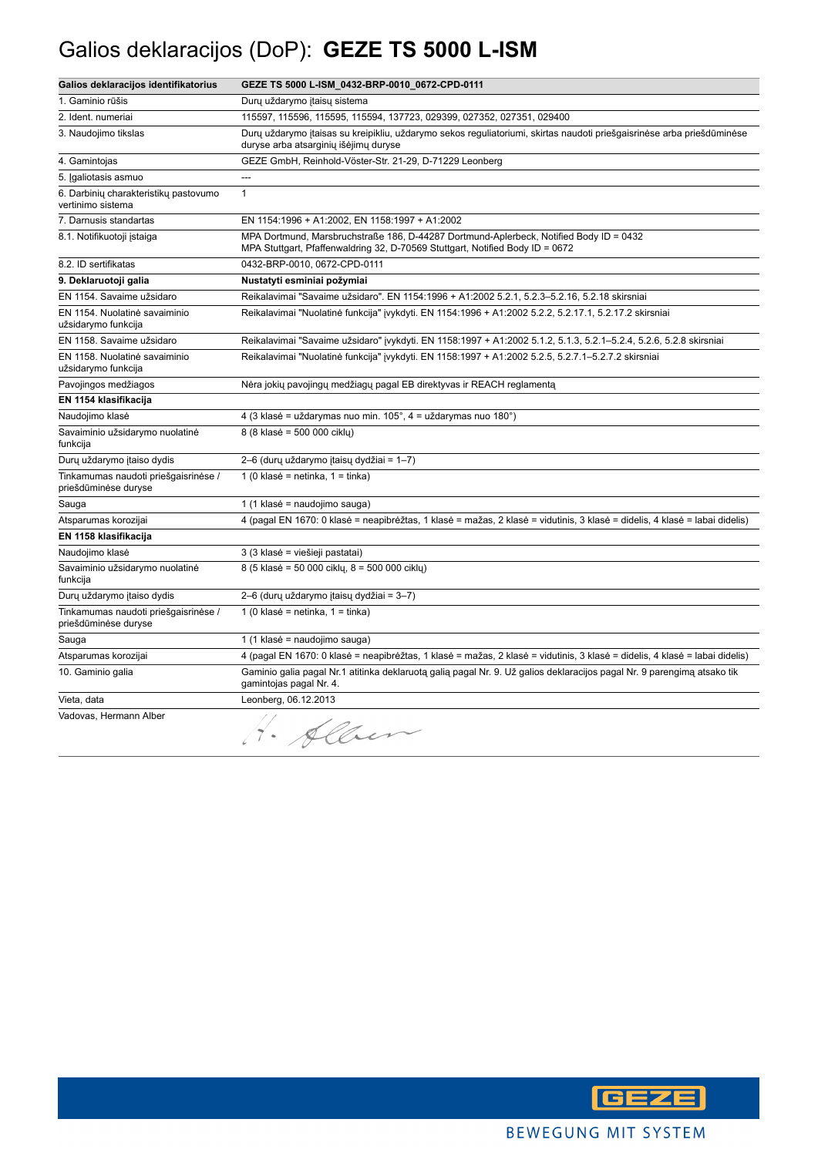### Galios deklaracijos (DoP): **GEZE TS 5000 L-ISM**

| Galios deklaracijos identifikatorius                         | GEZE TS 5000 L-ISM_0432-BRP-0010_0672-CPD-0111                                                                                                                          |
|--------------------------------------------------------------|-------------------------------------------------------------------------------------------------------------------------------------------------------------------------|
| 1. Gaminio rūšis                                             | Dury uždarymo įtaisų sistema                                                                                                                                            |
| 2. Ident. numeriai                                           | 115597, 115596, 115595, 115594, 137723, 029399, 027352, 027351, 029400                                                                                                  |
| 3. Naudojimo tikslas                                         | Durų uždarymo įtaisas su kreipikliu, uždarymo sekos reguliatoriumi, skirtas naudoti priešgaisrinėse arba priešdūminėse<br>duryse arba atsarginių išėjimų duryse         |
| 4. Gamintojas                                                | GEZE GmbH, Reinhold-Vöster-Str. 21-29, D-71229 Leonberg                                                                                                                 |
| 5. Igaliotasis asmuo                                         | $\overline{a}$                                                                                                                                                          |
| 6. Darbinių charakteristikų pastovumo<br>vertinimo sistema   | $\mathbf{1}$                                                                                                                                                            |
| 7. Darnusis standartas                                       | EN 1154:1996 + A1:2002, EN 1158:1997 + A1:2002                                                                                                                          |
| 8.1. Notifikuotoji įstaiga                                   | MPA Dortmund, Marsbruchstraße 186, D-44287 Dortmund-Aplerbeck, Notified Body ID = 0432<br>MPA Stuttgart, Pfaffenwaldring 32, D-70569 Stuttgart, Notified Body ID = 0672 |
| 8.2. ID sertifikatas                                         | 0432-BRP-0010, 0672-CPD-0111                                                                                                                                            |
| 9. Deklaruotoji galia                                        | Nustatyti esminiai požymiai                                                                                                                                             |
| EN 1154. Savaime užsidaro                                    | Reikalavimai "Savaime užsidaro". EN 1154:1996 + A1:2002 5.2.1, 5.2.3-5.2.16, 5.2.18 skirsniai                                                                           |
| EN 1154. Nuolatinė savaiminio<br>užsidarymo funkcija         | Reikalavimai "Nuolatinė funkcija" įvykdyti. EN 1154:1996 + A1:2002 5.2.2, 5.2.17.1, 5.2.17.2 skirsniai                                                                  |
| EN 1158. Savaime užsidaro                                    | Reikalavimai "Savaime užsidaro" įvykdyti. EN 1158:1997 + A1:2002 5.1.2, 5.1.3, 5.2.1–5.2.4, 5.2.6, 5.2.8 skirsniai                                                      |
| EN 1158. Nuolatinė savaiminio<br>užsidarymo funkcija         | Reikalavimai "Nuolatinė funkcija" įvykdyti. EN 1158:1997 + A1:2002 5.2.5, 5.2.7.1-5.2.7.2 skirsniai                                                                     |
| Pavojingos medžiagos                                         | Nėra jokių pavojingų medžiagų pagal EB direktyvas ir REACH reglamentą                                                                                                   |
| EN 1154 klasifikacija                                        |                                                                                                                                                                         |
| Naudojimo klasė                                              | 4 (3 klasė = uždarymas nuo min. 105°, 4 = uždarymas nuo 180°)                                                                                                           |
| Savaiminio užsidarymo nuolatinė<br>funkcija                  | 8 (8 klasė = 500 000 cikly)                                                                                                                                             |
| Durų uždarymo įtaiso dydis                                   | 2-6 (durų uždarymo įtaisų dydžiai = 1-7)                                                                                                                                |
| Tinkamumas naudoti priešgaisrinėse /<br>priešdūminėse duryse | 1 (0 klasė = netinka, 1 = tinka)                                                                                                                                        |
| Sauga                                                        | 1 (1 klasė = naudojimo sauga)                                                                                                                                           |
| Atsparumas korozijai                                         | 4 (pagal EN 1670: 0 klasė = neapibrėžtas, 1 klasė = mažas, 2 klasė = vidutinis, 3 klasė = didelis, 4 klasė = labai didelis)                                             |
| EN 1158 klasifikacija                                        |                                                                                                                                                                         |
| Naudojimo klasė                                              | 3 (3 klasė = viešieji pastatai)                                                                                                                                         |
| Savaiminio užsidarymo nuolatinė<br>funkcija                  | 8 (5 klasė = 50 000 cikly, 8 = 500 000 cikly)                                                                                                                           |
| Durų uždarymo įtaiso dydis                                   | 2-6 (durų uždarymo įtaisų dydžiai = 3-7)                                                                                                                                |
| Tinkamumas naudoti priešgaisrinėse /<br>priešdūminėse duryse | 1 (0 klasė = netinka, 1 = tinka)                                                                                                                                        |
| Sauga                                                        | 1 (1 klasė = naudojimo sauga)                                                                                                                                           |
| Atsparumas korozijai                                         | 4 (pagal EN 1670: 0 klasė = neapibrėžtas, 1 klasė = mažas, 2 klasė = vidutinis, 3 klasė = didelis, 4 klasė = labai didelis)                                             |
| 10. Gaminio galia                                            | Gaminio galia pagal Nr.1 atitinka deklaruotą galią pagal Nr. 9. Už galios deklaracijos pagal Nr. 9 parengimą atsako tik<br>gamintojas pagal Nr. 4.                      |
| Vieta, data                                                  | Leonberg, 06.12.2013                                                                                                                                                    |
| Vadovas, Hermann Alber                                       | 1. Alber                                                                                                                                                                |

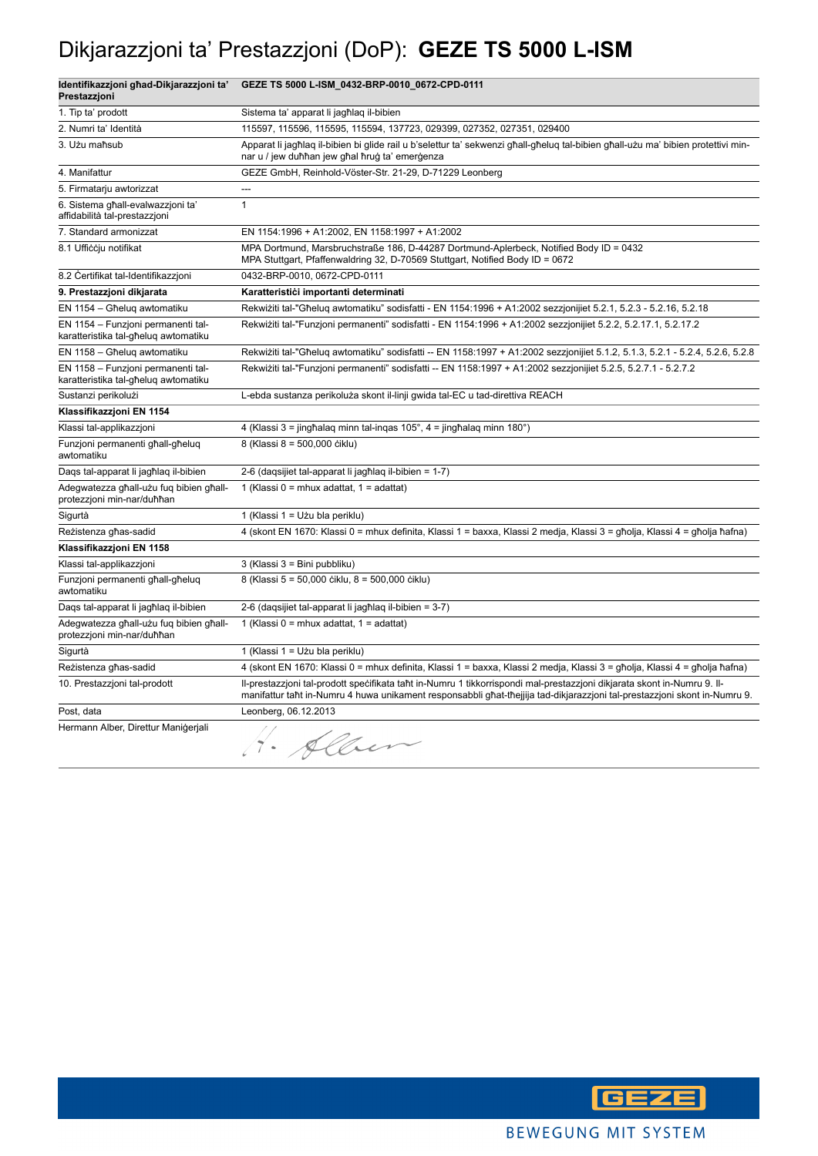### Dikjarazzjoni ta' Prestazzjoni (DoP): **GEZE TS 5000 L-ISM**

| Identifikazzjoni għad-Dikjarazzjoni ta'<br>Prestazzjoni                    | GEZE TS 5000 L-ISM_0432-BRP-0010_0672-CPD-0111                                                                                                                                                                                                       |
|----------------------------------------------------------------------------|------------------------------------------------------------------------------------------------------------------------------------------------------------------------------------------------------------------------------------------------------|
| 1. Tip ta' prodott                                                         | Sistema ta' apparat li jagħlag il-bibien                                                                                                                                                                                                             |
| 2. Numri ta' Identità                                                      | 115597, 115596, 115595, 115594, 137723, 029399, 027352, 027351, 029400                                                                                                                                                                               |
| 3. Użu maħsub                                                              | Apparat li jagħlaq il-bibien bi glide rail u b'selettur ta' sekwenzi għall-għeluq tal-bibien għall-użu ma' bibien protettivi min-<br>nar u / jew duħħan jew għal ħruġ ta' emerġenza                                                                  |
| 4. Manifattur                                                              | GEZE GmbH, Reinhold-Vöster-Str. 21-29, D-71229 Leonberg                                                                                                                                                                                              |
| 5. Firmatarju awtorizzat                                                   |                                                                                                                                                                                                                                                      |
| 6. Sistema għall-evalwazzjoni ta'<br>affidabilità tal-prestazzioni         | 1                                                                                                                                                                                                                                                    |
| 7. Standard armonizzat                                                     | EN 1154:1996 + A1:2002, EN 1158:1997 + A1:2002                                                                                                                                                                                                       |
| 8.1 Ufficcju notifikat                                                     | MPA Dortmund, Marsbruchstraße 186, D-44287 Dortmund-Aplerbeck, Notified Body ID = 0432<br>MPA Stuttgart, Pfaffenwaldring 32, D-70569 Stuttgart, Notified Body ID = 0672                                                                              |
| 8.2 Certifikat tal-Identifikazzjoni                                        | 0432-BRP-0010, 0672-CPD-0111                                                                                                                                                                                                                         |
| 9. Prestazzjoni dikjarata                                                  | Karatteristići importanti determinati                                                                                                                                                                                                                |
| EN 1154 - Għeluq awtomatiku                                                | Rekwiżiti tal-"Għeluq awtomatiku" sodisfatti - EN 1154:1996 + A1:2002 sezzjonijiet 5.2.1, 5.2.3 - 5.2.16, 5.2.18                                                                                                                                     |
| EN 1154 - Funzjoni permanenti tal-<br>karatteristika tal-għeluq awtomatiku | Rekwiżiti tal-"Funzjoni permanenti" sodisfatti - EN 1154:1996 + A1:2002 sezzjonijiet 5.2.2, 5.2.17.1, 5.2.17.2                                                                                                                                       |
| EN 1158 - Għeluq awtomatiku                                                | Rekwiżiti tal-"Għeluq awtomatiku" sodisfatti -- EN 1158:1997 + A1:2002 sezzjonijiet 5.1.2, 5.1.3, 5.2.1 - 5.2.4, 5.2.6, 5.2.8                                                                                                                        |
| EN 1158 - Funzjoni permanenti tal-<br>karatteristika tal-għeluq awtomatiku | Rekwiżiti tal-"Funzjoni permanenti" sodisfatti -- EN 1158:1997 + A1:2002 sezzjonijiet 5.2.5, 5.2.7.1 - 5.2.7.2                                                                                                                                       |
| Sustanzi perikolużi                                                        | L-ebda sustanza perikoluża skont il-linji gwida tal-EC u tad-direttiva REACH                                                                                                                                                                         |
| Klassifikazzjoni EN 1154                                                   |                                                                                                                                                                                                                                                      |
| Klassi tal-applikazzjoni                                                   | 4 (Klassi 3 = jingħalaq minn tal-inqas 105°, 4 = jingħalaq minn 180°)                                                                                                                                                                                |
| Funzjoni permanenti ghall-gheluq<br>awtomatiku                             | 8 (Klassi 8 = 500,000 ciklu)                                                                                                                                                                                                                         |
| Daqs tal-apparat li jagħlaq il-bibien                                      | 2-6 (daqsijiet tal-apparat li jagħlaq il-bibien = 1-7)                                                                                                                                                                                               |
| Adegwatezza għall-użu fuq bibien għall-<br>protezzjoni min-nar/duħħan      | 1 (Klassi 0 = mhux adattat, 1 = adattat)                                                                                                                                                                                                             |
| Sigurtà                                                                    | 1 (Klassi 1 = Użu bla periklu)                                                                                                                                                                                                                       |
| Rezistenza għas-sadid                                                      | 4 (skont EN 1670: Klassi 0 = mhux definita, Klassi 1 = baxxa, Klassi 2 medja, Klassi 3 = għolja, Klassi 4 = għolja ħafna)                                                                                                                            |
| Klassifikazzjoni EN 1158                                                   |                                                                                                                                                                                                                                                      |
| Klassi tal-applikazzjoni                                                   | 3 (Klassi 3 = Bini pubbliku)                                                                                                                                                                                                                         |
| Funzjoni permanenti ghall-gheluq<br>awtomatiku                             | 8 (Klassi 5 = 50,000 ciklu, 8 = 500,000 ciklu)                                                                                                                                                                                                       |
| Daqs tal-apparat li jagħlaq il-bibien                                      | 2-6 (daqsijiet tal-apparat li jagħlaq il-bibien = 3-7)                                                                                                                                                                                               |
| Adegwatezza għall-użu fuq bibien għall-<br>protezzjoni min-nar/duħħan      | 1 (Klassi 0 = mhux adattat, 1 = adattat)                                                                                                                                                                                                             |
| Sigurtà                                                                    | 1 (Klassi 1 = Użu bla periklu)                                                                                                                                                                                                                       |
| Rezistenza għas-sadid                                                      | 4 (skont EN 1670: Klassi 0 = mhux definita, Klassi 1 = baxxa, Klassi 2 medja, Klassi 3 = għolja, Klassi 4 = għolja ħafna)                                                                                                                            |
| 10. Prestazzjoni tal-prodott                                               | II-prestazzjoni tal-prodott specifikata taht in-Numru 1 tikkorrispondi mal-prestazzjoni dikjarata skont in-Numru 9. II-<br>manifattur taht in-Numru 4 huwa unikament responsabbli ghat-thejjija tad-dikjarazzjoni tal-prestazzjoni skont in-Numru 9. |
| Post. data                                                                 | Leonberg, 06.12.2013                                                                                                                                                                                                                                 |
| Hermann Alber, Direttur Manigerjali                                        | 1. Alben                                                                                                                                                                                                                                             |

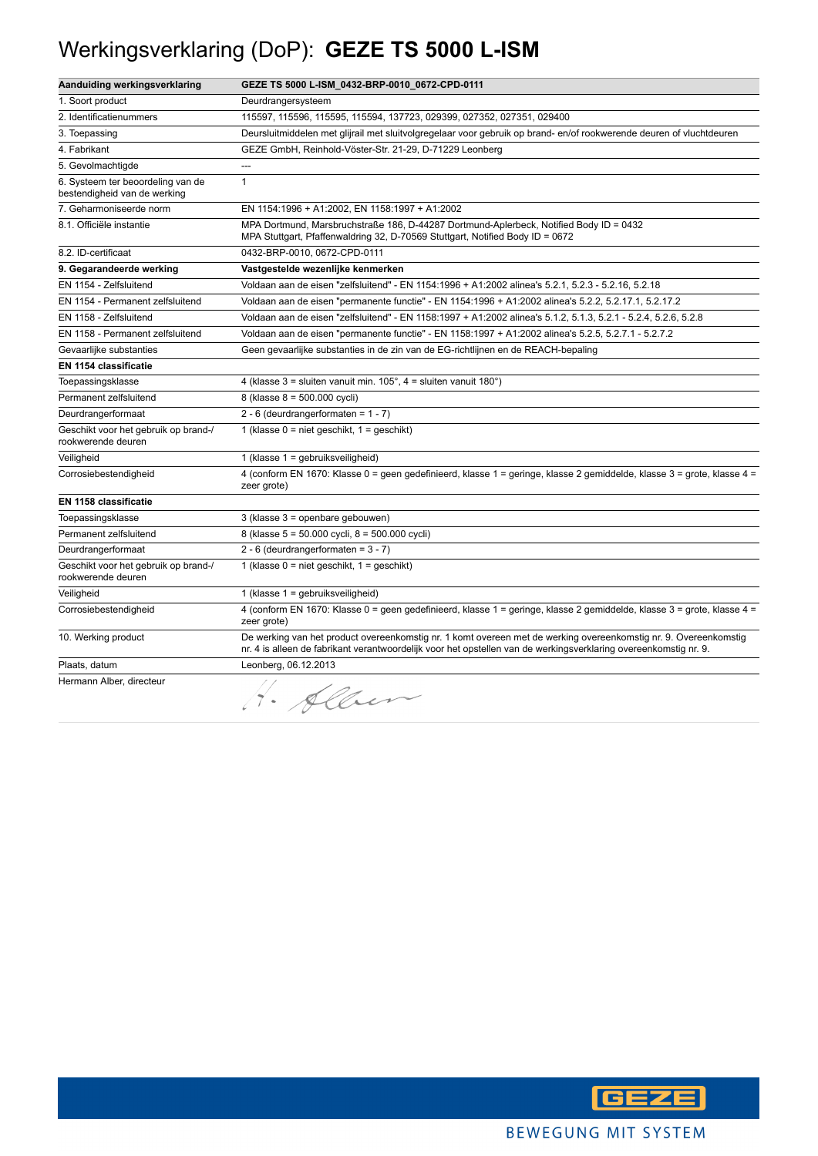### Werkingsverklaring (DoP): **GEZE TS 5000 L-ISM**

| Aanduiding werkingsverklaring                                     | GEZE TS 5000 L-ISM_0432-BRP-0010_0672-CPD-0111                                                                                                                                                                                       |
|-------------------------------------------------------------------|--------------------------------------------------------------------------------------------------------------------------------------------------------------------------------------------------------------------------------------|
| 1. Soort product                                                  | Deurdrangersysteem                                                                                                                                                                                                                   |
| 2. Identificatienummers                                           | 115597, 115596, 115595, 115594, 137723, 029399, 027352, 027351, 029400                                                                                                                                                               |
| 3. Toepassing                                                     | Deursluitmiddelen met glijrail met sluitvolgregelaar voor gebruik op brand- en/of rookwerende deuren of vluchtdeuren                                                                                                                 |
| 4. Fabrikant                                                      | GEZE GmbH, Reinhold-Vöster-Str. 21-29, D-71229 Leonberg                                                                                                                                                                              |
| 5. Gevolmachtigde                                                 | ---                                                                                                                                                                                                                                  |
| 6. Systeem ter beoordeling van de<br>bestendigheid van de werking | $\mathbf{1}$                                                                                                                                                                                                                         |
| 7. Geharmoniseerde norm                                           | EN 1154:1996 + A1:2002, EN 1158:1997 + A1:2002                                                                                                                                                                                       |
| 8.1. Officiële instantie                                          | MPA Dortmund, Marsbruchstraße 186, D-44287 Dortmund-Aplerbeck, Notified Body ID = 0432<br>MPA Stuttgart, Pfaffenwaldring 32, D-70569 Stuttgart, Notified Body ID = 0672                                                              |
| 8.2. ID-certificaat                                               | 0432-BRP-0010, 0672-CPD-0111                                                                                                                                                                                                         |
| 9. Gegarandeerde werking                                          | Vastgestelde wezenlijke kenmerken                                                                                                                                                                                                    |
| EN 1154 - Zelfsluitend                                            | Voldaan aan de eisen "zelfsluitend" - EN 1154:1996 + A1:2002 alinea's 5.2.1, 5.2.3 - 5.2.16, 5.2.18                                                                                                                                  |
| EN 1154 - Permanent zelfsluitend                                  | Voldaan aan de eisen "permanente functie" - EN 1154:1996 + A1:2002 alinea's 5.2.2, 5.2.17.1, 5.2.17.2                                                                                                                                |
| EN 1158 - Zelfsluitend                                            | Voldaan aan de eisen "zelfsluitend" - EN 1158:1997 + A1:2002 alinea's 5.1.2, 5.1.3, 5.2.1 - 5.2.4, 5.2.6, 5.2.8                                                                                                                      |
| EN 1158 - Permanent zelfsluitend                                  | Voldaan aan de eisen "permanente functie" - EN 1158:1997 + A1:2002 alinea's 5.2.5, 5.2.7.1 - 5.2.7.2                                                                                                                                 |
| Gevaarlijke substanties                                           | Geen gevaarlijke substanties in de zin van de EG-richtlijnen en de REACH-bepaling                                                                                                                                                    |
| EN 1154 classificatie                                             |                                                                                                                                                                                                                                      |
| Toepassingsklasse                                                 | 4 (klasse $3 =$ sluiten vanuit min. $105^\circ$ , $4 =$ sluiten vanuit $180^\circ$ )                                                                                                                                                 |
| Permanent zelfsluitend                                            | 8 (klasse 8 = 500.000 cycli)                                                                                                                                                                                                         |
| Deurdrangerformaat                                                | 2 - 6 (deurdrangerformaten = $1 - 7$ )                                                                                                                                                                                               |
| Geschikt voor het gebruik op brand-/<br>rookwerende deuren        | 1 (klasse $0 =$ niet geschikt, $1 =$ geschikt)                                                                                                                                                                                       |
| Veiligheid                                                        | 1 (klasse $1 =$ gebruiksveiligheid)                                                                                                                                                                                                  |
| Corrosiebestendigheid                                             | 4 (conform EN 1670: Klasse 0 = geen gedefinieerd, klasse 1 = geringe, klasse 2 gemiddelde, klasse 3 = grote, klasse 4 =<br>zeer grote)                                                                                               |
| EN 1158 classificatie                                             |                                                                                                                                                                                                                                      |
| Toepassingsklasse                                                 | 3 (klasse 3 = openbare gebouwen)                                                                                                                                                                                                     |
| Permanent zelfsluitend                                            | 8 (klasse 5 = 50.000 cycli, 8 = 500.000 cycli)                                                                                                                                                                                       |
| Deurdrangerformaat                                                | 2 - 6 (deurdrangerformaten = $3 - 7$ )                                                                                                                                                                                               |
| Geschikt voor het gebruik op brand-/<br>rookwerende deuren        | 1 (klasse $0 =$ niet geschikt, $1 =$ geschikt)                                                                                                                                                                                       |
| Veiligheid                                                        | 1 (klasse 1 = gebruiksveiligheid)                                                                                                                                                                                                    |
| Corrosiebestendigheid                                             | 4 (conform EN 1670: Klasse 0 = geen gedefinieerd, klasse 1 = geringe, klasse 2 gemiddelde, klasse 3 = grote, klasse 4 =<br>zeer grote)                                                                                               |
| 10. Werking product                                               | De werking van het product overeenkomstig nr. 1 komt overeen met de werking overeenkomstig nr. 9. Overeenkomstig<br>nr. 4 is alleen de fabrikant verantwoordelijk voor het opstellen van de werkingsverklaring overeenkomstig nr. 9. |
| Plaats, datum                                                     | Leonberg, 06.12.2013                                                                                                                                                                                                                 |
| Hermann Alber, directeur                                          | H. Alber                                                                                                                                                                                                                             |

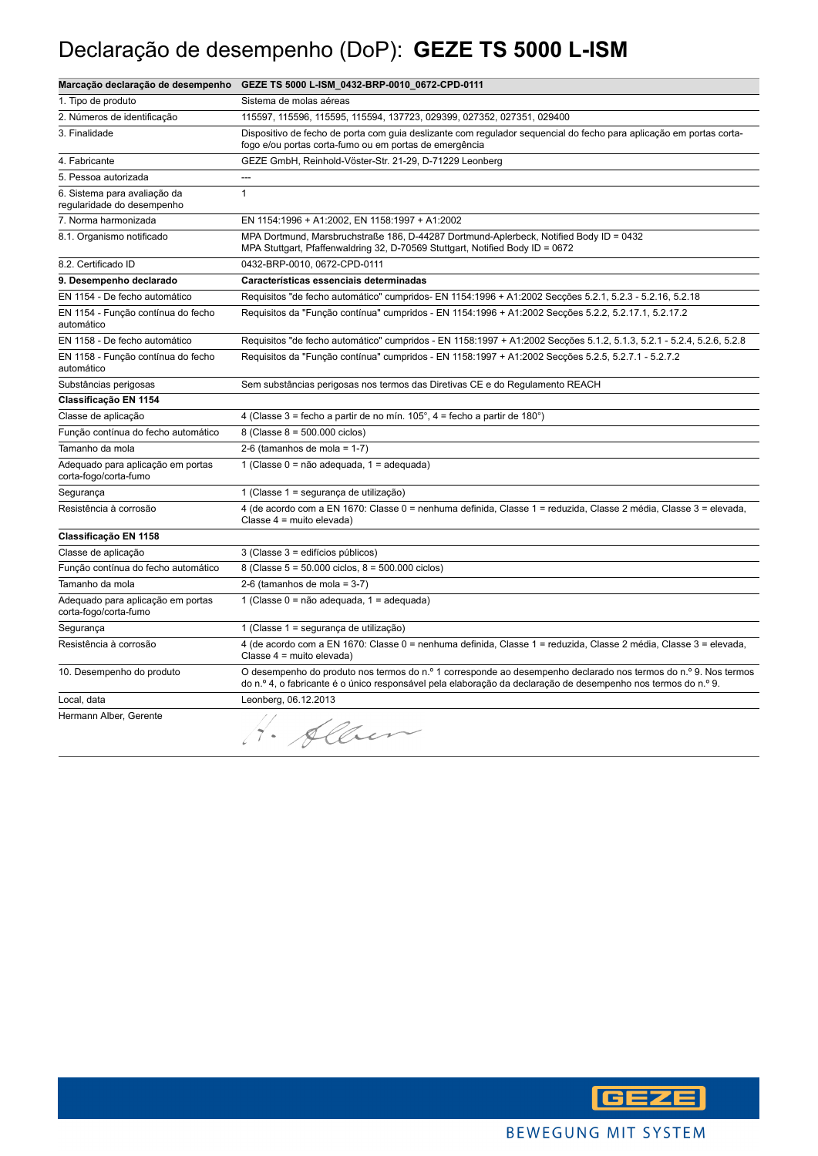### Declaração de desempenho (DoP): **GEZE TS 5000 L-ISM**

|                                                            | Marcação declaração de desempenho GEZE TS 5000 L-ISM_0432-BRP-0010_0672-CPD-0111                                                                                                                                                 |
|------------------------------------------------------------|----------------------------------------------------------------------------------------------------------------------------------------------------------------------------------------------------------------------------------|
| 1. Tipo de produto                                         | Sistema de molas aéreas                                                                                                                                                                                                          |
| 2. Números de identificação                                | 115597, 115596, 115595, 115594, 137723, 029399, 027352, 027351, 029400                                                                                                                                                           |
| 3. Finalidade                                              | Dispositivo de fecho de porta com guia deslizante com regulador sequencial do fecho para aplicação em portas corta-<br>fogo e/ou portas corta-fumo ou em portas de emergência                                                    |
| 4. Fabricante                                              | GEZE GmbH, Reinhold-Vöster-Str. 21-29, D-71229 Leonberg                                                                                                                                                                          |
| 5. Pessoa autorizada                                       |                                                                                                                                                                                                                                  |
| 6. Sistema para avaliação da<br>regularidade do desempenho | $\mathbf{1}$                                                                                                                                                                                                                     |
| 7. Norma harmonizada                                       | EN 1154:1996 + A1:2002, EN 1158:1997 + A1:2002                                                                                                                                                                                   |
| 8.1. Organismo notificado                                  | MPA Dortmund, Marsbruchstraße 186, D-44287 Dortmund-Aplerbeck, Notified Body ID = 0432<br>MPA Stuttgart, Pfaffenwaldring 32, D-70569 Stuttgart, Notified Body ID = 0672                                                          |
| 8.2. Certificado ID                                        | 0432-BRP-0010, 0672-CPD-0111                                                                                                                                                                                                     |
| 9. Desempenho declarado                                    | Características essenciais determinadas                                                                                                                                                                                          |
| EN 1154 - De fecho automático                              | Requisitos "de fecho automático" cumpridos- EN 1154:1996 + A1:2002 Secções 5.2.1, 5.2.3 - 5.2.16, 5.2.18                                                                                                                         |
| EN 1154 - Função contínua do fecho<br>automático           | Requisitos da "Função contínua" cumpridos - EN 1154:1996 + A1:2002 Secções 5.2.2, 5.2.17.1, 5.2.17.2                                                                                                                             |
| EN 1158 - De fecho automático                              | Requisitos "de fecho automático" cumpridos - EN 1158:1997 + A1:2002 Secções 5.1.2, 5.1.3, 5.2.1 - 5.2.4, 5.2.6, 5.2.8                                                                                                            |
| EN 1158 - Função contínua do fecho<br>automático           | Requisitos da "Função contínua" cumpridos - EN 1158:1997 + A1:2002 Secções 5.2.5, 5.2.7.1 - 5.2.7.2                                                                                                                              |
| Substâncias perigosas                                      | Sem substâncias perigosas nos termos das Diretivas CE e do Regulamento REACH                                                                                                                                                     |
| Classificação EN 1154                                      |                                                                                                                                                                                                                                  |
| Classe de aplicação                                        | 4 (Classe 3 = fecho a partir de no mín. $105^\circ$ , 4 = fecho a partir de 180 $^\circ$ )                                                                                                                                       |
| Função contínua do fecho automático                        | 8 (Classe $8 = 500.000$ ciclos)                                                                                                                                                                                                  |
| Tamanho da mola                                            | 2-6 (tamanhos de mola = $1-7$ )                                                                                                                                                                                                  |
| Adequado para aplicação em portas<br>corta-fogo/corta-fumo | 1 (Classe 0 = não adequada, 1 = adequada)                                                                                                                                                                                        |
| Segurança                                                  | 1 (Classe 1 = segurança de utilização)                                                                                                                                                                                           |
| Resistência à corrosão                                     | 4 (de acordo com a EN 1670: Classe 0 = nenhuma definida, Classe 1 = reduzida, Classe 2 média, Classe 3 = elevada,<br>Classe 4 = muito elevada)                                                                                   |
| Classificação EN 1158                                      |                                                                                                                                                                                                                                  |
| Classe de aplicação                                        | 3 (Classe 3 = edifícios públicos)                                                                                                                                                                                                |
| Função contínua do fecho automático                        | 8 (Classe $5 = 50.000$ ciclos, $8 = 500.000$ ciclos)                                                                                                                                                                             |
| Tamanho da mola                                            | 2-6 (tamanhos de mola = $3-7$ )                                                                                                                                                                                                  |
| Adequado para aplicação em portas<br>corta-fogo/corta-fumo | 1 (Classe 0 = não adequada, 1 = adequada)                                                                                                                                                                                        |
| Segurança                                                  | 1 (Classe 1 = segurança de utilização)                                                                                                                                                                                           |
| Resistência à corrosão                                     | 4 (de acordo com a EN 1670: Classe 0 = nenhuma definida, Classe 1 = reduzida, Classe 2 média, Classe 3 = elevada,<br>Classe 4 = muito elevada)                                                                                   |
| 10. Desempenho do produto                                  | O desempenho do produto nos termos do n.º 1 corresponde ao desempenho declarado nos termos do n.º 9. Nos termos<br>do n.º 4, o fabricante é o único responsável pela elaboração da declaração de desempenho nos termos do n.º 9. |
| Local. data                                                | Leonberg, 06.12.2013                                                                                                                                                                                                             |
| Hermann Alber, Gerente                                     | · Alber                                                                                                                                                                                                                          |

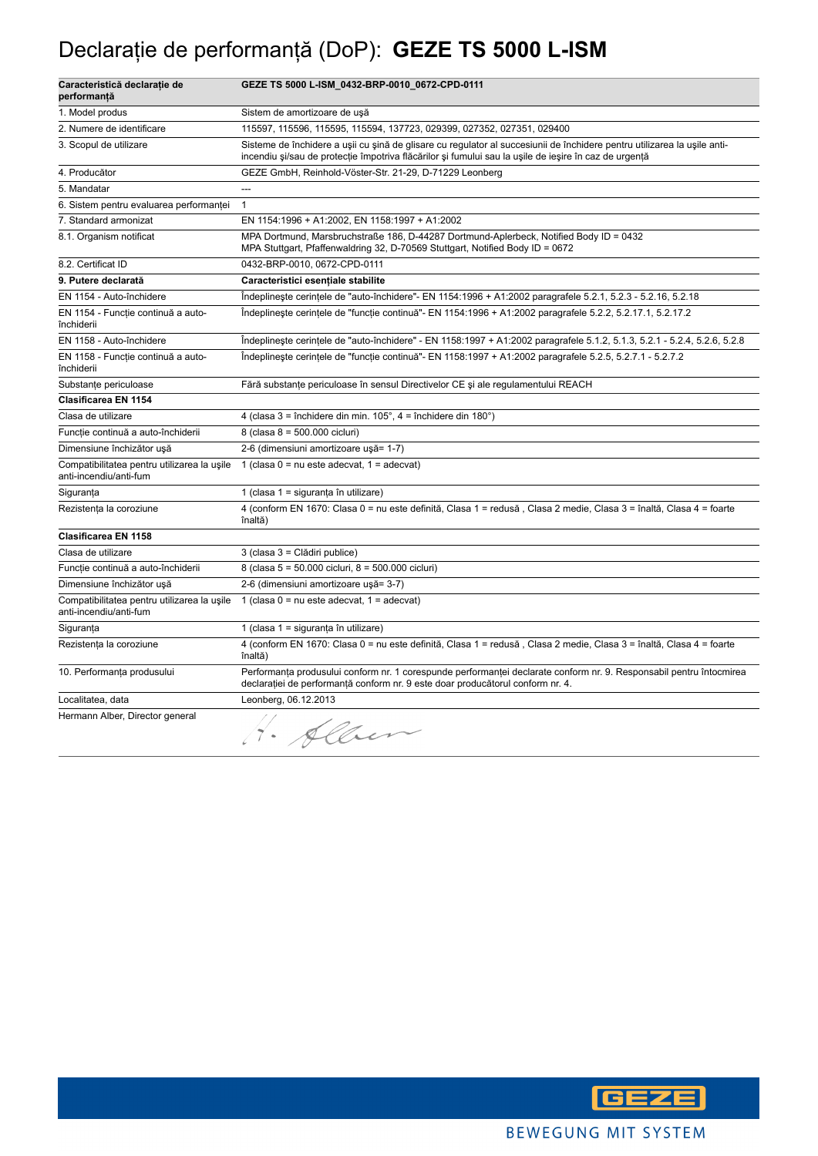### Declaraţie de performanţă (DoP): **GEZE TS 5000 L-ISM**

| Caracteristică declarație de<br>performanță                           | GEZE TS 5000 L-ISM_0432-BRP-0010_0672-CPD-0111                                                                                                                                                                                    |
|-----------------------------------------------------------------------|-----------------------------------------------------------------------------------------------------------------------------------------------------------------------------------------------------------------------------------|
| 1. Model produs                                                       | Sistem de amortizoare de uşă                                                                                                                                                                                                      |
| 2. Numere de identificare                                             | 115597, 115596, 115595, 115594, 137723, 029399, 027352, 027351, 029400                                                                                                                                                            |
| 3. Scopul de utilizare                                                | Sisteme de închidere a usii cu sină de glisare cu regulator al succesiunii de închidere pentru utilizarea la usile anti-<br>incendiu și/sau de protecție împotriva flăcărilor și fumului sau la ușile de ieșire în caz de urgență |
| 4. Producător                                                         | GEZE GmbH, Reinhold-Vöster-Str. 21-29, D-71229 Leonberg                                                                                                                                                                           |
| 5. Mandatar                                                           |                                                                                                                                                                                                                                   |
| 6. Sistem pentru evaluarea performanței                               | $\mathbf{1}$                                                                                                                                                                                                                      |
| 7. Standard armonizat                                                 | EN 1154:1996 + A1:2002, EN 1158:1997 + A1:2002                                                                                                                                                                                    |
| 8.1. Organism notificat                                               | MPA Dortmund, Marsbruchstraße 186, D-44287 Dortmund-Aplerbeck, Notified Body ID = 0432<br>MPA Stuttgart, Pfaffenwaldring 32, D-70569 Stuttgart, Notified Body ID = 0672                                                           |
| 8.2. Certificat ID                                                    | 0432-BRP-0010, 0672-CPD-0111                                                                                                                                                                                                      |
| 9. Putere declarată                                                   | Caracteristici esentiale stabilite                                                                                                                                                                                                |
| EN 1154 - Auto-închidere                                              | Indeplineste cerintele de "auto-închidere"- EN 1154:1996 + A1:2002 paragrafele 5.2.1, 5.2.3 - 5.2.16, 5.2.18                                                                                                                      |
| EN 1154 - Funcție continuă a auto-<br>închiderii                      | Îndeplinește cerințele de "funcție continuă"- EN 1154:1996 + A1:2002 paragrafele 5.2.2, 5.2.17.1, 5.2.17.2                                                                                                                        |
| EN 1158 - Auto-închidere                                              | Îndeplinește cerințele de "auto-închidere" - EN 1158:1997 + A1:2002 paragrafele 5.1.2, 5.1.3, 5.2.1 - 5.2.4, 5.2.6, 5.2.8                                                                                                         |
| EN 1158 - Funcție continuă a auto-<br>închiderii                      | Îndeplinește cerințele de "funcție continuă" - EN 1158:1997 + A1:2002 paragrafele 5.2.5, 5.2.7.1 - 5.2.7.2                                                                                                                        |
| Substanțe periculoase                                                 | Fără substanțe periculoase în sensul Directivelor CE și ale regulamentului REACH                                                                                                                                                  |
| Clasificarea EN 1154                                                  |                                                                                                                                                                                                                                   |
| Clasa de utilizare                                                    | 4 (clasa 3 = închidere din min. $105^\circ$ , 4 = închidere din $180^\circ$ )                                                                                                                                                     |
| Funcție continuă a auto-închiderii                                    | 8 (clasa 8 = 500.000 cicluri)                                                                                                                                                                                                     |
| Dimensiune închizător ușă                                             | 2-6 (dimensiuni amortizoare ușă= 1-7)                                                                                                                                                                                             |
| Compatibilitatea pentru utilizarea la usile<br>anti-incendiu/anti-fum | 1 (clasa $0 = nu$ este adecvat, $1 = adecvat$ )                                                                                                                                                                                   |
| Siguranta                                                             | 1 (clasa 1 = siguranța în utilizare)                                                                                                                                                                                              |
| Rezistența la coroziune                                               | 4 (conform EN 1670: Clasa 0 = nu este definită, Clasa 1 = redusă, Clasa 2 medie, Clasa 3 = înaltă, Clasa 4 = foarte<br>înaltă)                                                                                                    |
| <b>Clasificarea EN 1158</b>                                           |                                                                                                                                                                                                                                   |
| Clasa de utilizare                                                    | 3 (clasa 3 = Clădiri publice)                                                                                                                                                                                                     |
| Funcție continuă a auto-închiderii                                    | 8 (clasa 5 = 50.000 cicluri, 8 = 500.000 cicluri)                                                                                                                                                                                 |
| Dimensiune închizător ușă                                             | 2-6 (dimensiuni amortizoare ușă= 3-7)                                                                                                                                                                                             |
| Compatibilitatea pentru utilizarea la usile<br>anti-incendiu/anti-fum | 1 (clasa $0 = nu$ este adecvat, $1 = adecvat$ )                                                                                                                                                                                   |
| Siguranța                                                             | 1 (clasa 1 = siguranta în utilizare)                                                                                                                                                                                              |
| Rezistența la coroziune                                               | 4 (conform EN 1670: Clasa 0 = nu este definită, Clasa 1 = redusă, Clasa 2 medie, Clasa 3 = înaltă, Clasa 4 = foarte<br>înaltă)                                                                                                    |
| 10. Performanța produsului                                            | Performanța produsului conform nr. 1 corespunde performanței declarate conform nr. 9. Responsabil pentru întocmirea<br>declarației de performanță conform nr. 9 este doar producătorul conform nr. 4.                             |
| Localitatea, data                                                     | Leonberg, 06.12.2013                                                                                                                                                                                                              |
| Hermann Alber, Director general                                       | · Alber                                                                                                                                                                                                                           |

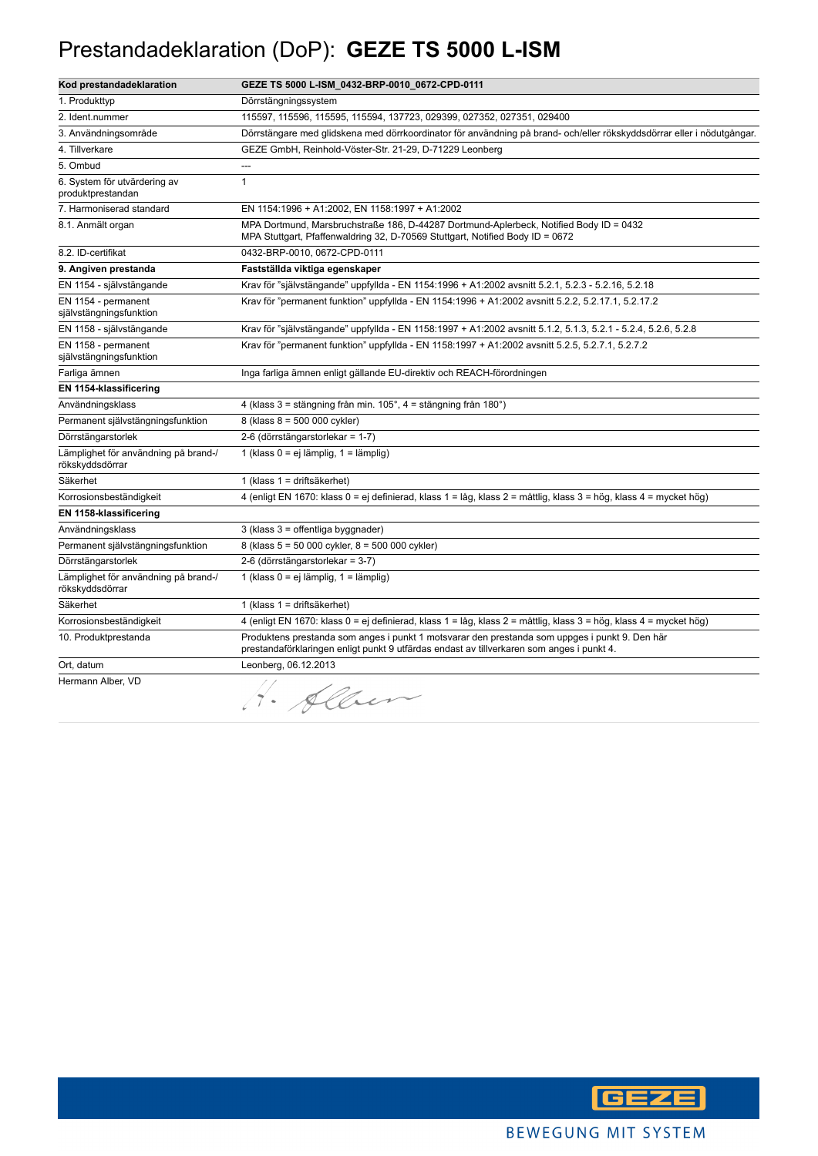### Prestandadeklaration (DoP): **GEZE TS 5000 L-ISM**

| Kod prestandadeklaration                                | GEZE TS 5000 L-ISM_0432-BRP-0010_0672-CPD-0111                                                                                                                                              |
|---------------------------------------------------------|---------------------------------------------------------------------------------------------------------------------------------------------------------------------------------------------|
| 1. Produkttyp                                           | Dörrstängningssystem                                                                                                                                                                        |
| 2. Ident.nummer                                         | 115597, 115596, 115595, 115594, 137723, 029399, 027352, 027351, 029400                                                                                                                      |
| 3. Användningsområde                                    | Dörrstängare med glidskena med dörrkoordinator för användning på brand- och/eller rökskyddsdörrar eller i nödutgångar.                                                                      |
| 4. Tillverkare                                          | GEZE GmbH, Reinhold-Vöster-Str. 21-29, D-71229 Leonberg                                                                                                                                     |
| 5. Ombud                                                | ---                                                                                                                                                                                         |
| 6. System för utvärdering av<br>produktprestandan       | $\mathbf{1}$                                                                                                                                                                                |
| 7. Harmoniserad standard                                | EN 1154:1996 + A1:2002, EN 1158:1997 + A1:2002                                                                                                                                              |
| 8.1. Anmält organ                                       | MPA Dortmund, Marsbruchstraße 186, D-44287 Dortmund-Aplerbeck, Notified Body ID = 0432<br>MPA Stuttgart, Pfaffenwaldring 32, D-70569 Stuttgart, Notified Body ID = 0672                     |
| 8.2. ID-certifikat                                      | 0432-BRP-0010, 0672-CPD-0111                                                                                                                                                                |
| 9. Angiven prestanda                                    | Fastställda viktiga egenskaper                                                                                                                                                              |
| EN 1154 - självstängande                                | Krav för "självstängande" uppfyllda - EN 1154:1996 + A1:2002 avsnitt 5.2.1, 5.2.3 - 5.2.16, 5.2.18                                                                                          |
| EN 1154 - permanent<br>självstängningsfunktion          | Krav för "permanent funktion" uppfyllda - EN 1154:1996 + A1:2002 avsnitt 5.2.2, 5.2.17.1, 5.2.17.2                                                                                          |
| EN 1158 - självstängande                                | Krav för "självstängande" uppfyllda - EN 1158:1997 + A1:2002 avsnitt 5.1.2, 5.1.3, 5.2.1 - 5.2.4, 5.2.6, 5.2.8                                                                              |
| EN 1158 - permanent<br>självstängningsfunktion          | Krav för "permanent funktion" uppfyllda - EN 1158:1997 + A1:2002 avsnitt 5.2.5, 5.2.7.1, 5.2.7.2                                                                                            |
| Farliga ämnen                                           | Inga farliga ämnen enligt gällande EU-direktiv och REACH-förordningen                                                                                                                       |
| EN 1154-klassificering                                  |                                                                                                                                                                                             |
| Användningsklass                                        | 4 (klass 3 = stängning från min. 105°, 4 = stängning från 180°)                                                                                                                             |
| Permanent självstängningsfunktion                       | 8 (klass 8 = 500 000 cykler)                                                                                                                                                                |
| Dörrstängarstorlek                                      | 2-6 (dörrstängarstorlekar = 1-7)                                                                                                                                                            |
| Lämplighet för användning på brand-/<br>rökskyddsdörrar | 1 (klass 0 = ej lämplig, 1 = lämplig)                                                                                                                                                       |
| Säkerhet                                                | 1 (klass 1 = driftsäkerhet)                                                                                                                                                                 |
| Korrosionsbeständigkeit                                 | 4 (enligt EN 1670: klass 0 = ej definierad, klass 1 = låg, klass 2 = måttlig, klass 3 = hög, klass 4 = mycket hög)                                                                          |
| EN 1158-klassificering                                  |                                                                                                                                                                                             |
| Användningsklass                                        | 3 (klass 3 = offentliga byggnader)                                                                                                                                                          |
| Permanent självstängningsfunktion                       | 8 (klass 5 = 50 000 cykler, 8 = 500 000 cykler)                                                                                                                                             |
| Dörrstängarstorlek                                      | 2-6 (dörrstängarstorlekar = 3-7)                                                                                                                                                            |
| Lämplighet för användning på brand-/<br>rökskyddsdörrar | 1 (klass 0 = ej lämplig, 1 = lämplig)                                                                                                                                                       |
| Säkerhet                                                | 1 (klass 1 = driftsäkerhet)                                                                                                                                                                 |
| Korrosionsbeständigkeit                                 | 4 (enligt EN 1670: klass 0 = ej definierad, klass 1 = låg, klass 2 = måttlig, klass 3 = hög, klass 4 = mycket hög)                                                                          |
| 10. Produktprestanda                                    | Produktens prestanda som anges i punkt 1 motsvarar den prestanda som uppges i punkt 9. Den här<br>prestandaförklaringen enligt punkt 9 utfärdas endast av tillverkaren som anges i punkt 4. |
| Ort, datum                                              | Leonberg, 06.12.2013                                                                                                                                                                        |
| Hermann Alber, VD                                       | H. Alben                                                                                                                                                                                    |

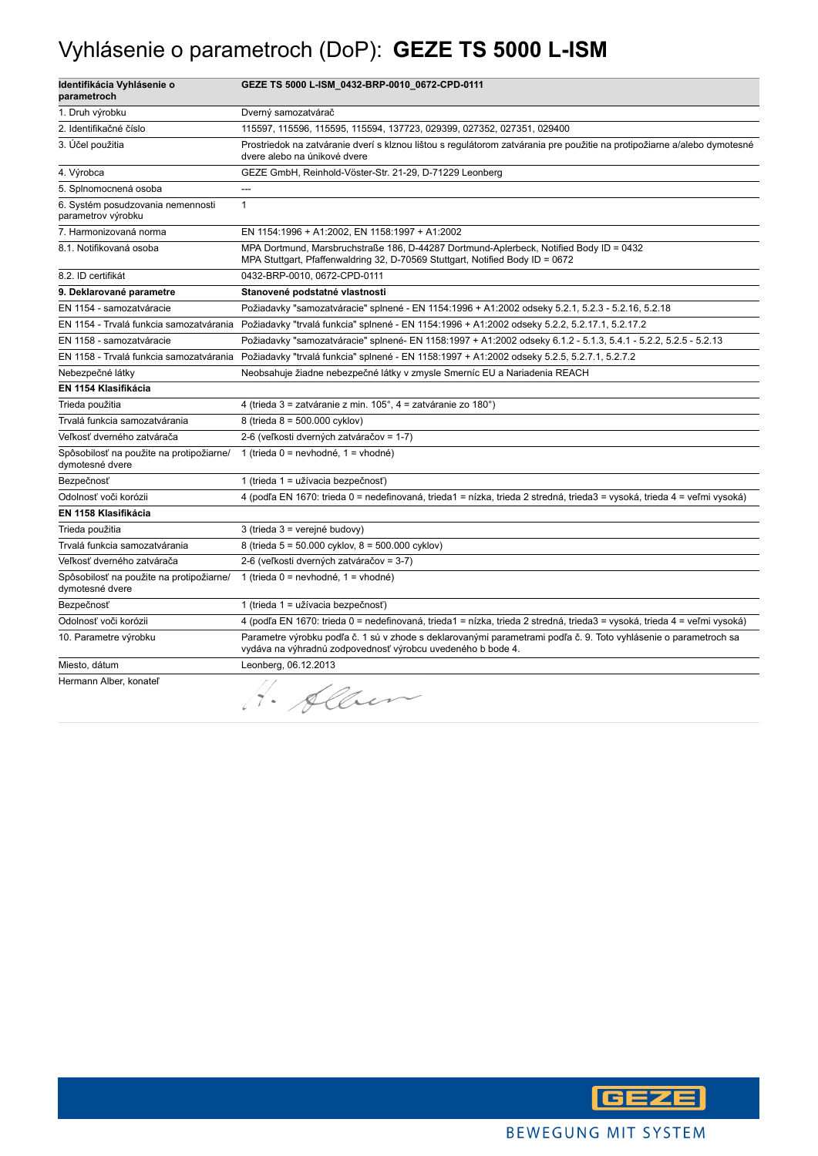### Vyhlásenie o parametroch (DoP): **GEZE TS 5000 L-ISM**

| Identifikácia Vyhlásenie o<br>parametroch                   | GEZE TS 5000 L-ISM_0432-BRP-0010_0672-CPD-0111                                                                                                                                  |
|-------------------------------------------------------------|---------------------------------------------------------------------------------------------------------------------------------------------------------------------------------|
| 1. Druh výrobku                                             | Dverný samozatvárač                                                                                                                                                             |
| 2. Identifikačné číslo                                      | 115597, 115596, 115595, 115594, 137723, 029399, 027352, 027351, 029400                                                                                                          |
| 3. Účel použitia                                            | Prostriedok na zatváranie dverí s klznou lištou s regulátorom zatvárania pre použitie na protipožiarne a/alebo dymotesné<br>dvere alebo na únikové dvere                        |
| 4. Výrobca                                                  | GEZE GmbH, Reinhold-Vöster-Str. 21-29, D-71229 Leonberg                                                                                                                         |
| 5. Splnomocnená osoba                                       | ---                                                                                                                                                                             |
| 6. Systém posudzovania nemennosti<br>parametrov výrobku     | $\mathbf{1}$                                                                                                                                                                    |
| 7. Harmonizovaná norma                                      | EN 1154:1996 + A1:2002, EN 1158:1997 + A1:2002                                                                                                                                  |
| 8.1. Notifikovaná osoba                                     | MPA Dortmund, Marsbruchstraße 186, D-44287 Dortmund-Aplerbeck, Notified Body ID = 0432<br>MPA Stuttgart, Pfaffenwaldring 32, D-70569 Stuttgart, Notified Body ID = 0672         |
| 8.2. ID certifikát                                          | 0432-BRP-0010, 0672-CPD-0111                                                                                                                                                    |
| 9. Deklarované parametre                                    | Stanovené podstatné vlastnosti                                                                                                                                                  |
| EN 1154 - samozatváracie                                    | Požiadavky "samozatváracie" splnené - EN 1154:1996 + A1:2002 odseky 5.2.1, 5.2.3 - 5.2.16, 5.2.18                                                                               |
| EN 1154 - Trvalá funkcia samozatvárania                     | Požiadavky "trvalá funkcia" splnené - EN 1154:1996 + A1:2002 odseky 5.2.2, 5.2.17.1, 5.2.17.2                                                                                   |
| EN 1158 - samozatváracie                                    | Požiadavky "samozatváracie" splnené- EN 1158:1997 + A1:2002 odseky 6.1.2 - 5.1.3, 5.4.1 - 5.2.2, 5.2.5 - 5.2.13                                                                 |
| EN 1158 - Trvalá funkcia samozatvárania                     | Požiadavky "trvalá funkcia" splnené - EN 1158:1997 + A1:2002 odseky 5.2.5, 5.2.7.1, 5.2.7.2                                                                                     |
| Nebezpečné látky                                            | Neobsahuje žiadne nebezpečné látky v zmysle Smerníc EU a Nariadenia REACH                                                                                                       |
| EN 1154 Klasifikácia                                        |                                                                                                                                                                                 |
| Trieda použitia                                             | 4 (trieda 3 = zatváranie z min. 105°, 4 = zatváranie zo 180°)                                                                                                                   |
| Trvalá funkcia samozatvárania                               | 8 (trieda 8 = 500.000 cyklov)                                                                                                                                                   |
| Veľkosť dverného zatvárača                                  | 2-6 (veľkosti dverných zatváračov = 1-7)                                                                                                                                        |
| Spôsobilosť na použite na protipožiarne/<br>dymotesné dvere | 1 (trieda $0 =$ nevhodné, 1 = vhodné)                                                                                                                                           |
| Bezpečnosť                                                  | 1 (trieda 1 = užívacia bezpečnosť)                                                                                                                                              |
| Odolnosť voči korózii                                       | 4 (podľa EN 1670: trieda 0 = nedefinovaná, trieda1 = nízka, trieda 2 stredná, trieda3 = vysoká, trieda 4 = veľmi vysoká)                                                        |
| EN 1158 Klasifikácia                                        |                                                                                                                                                                                 |
| Trieda použitia                                             | 3 (trieda 3 = verejné budovy)                                                                                                                                                   |
| Trvalá funkcia samozatvárania                               | 8 (trieda 5 = 50.000 cyklov, 8 = 500.000 cyklov)                                                                                                                                |
| Veľkosť dverného zatvárača                                  | 2-6 (veľkosti dverných zatváračov = 3-7)                                                                                                                                        |
| Spôsobilosť na použite na protipožiarne/<br>dymotesné dvere | 1 (trieda 0 = nevhodné, 1 = vhodné)                                                                                                                                             |
| Bezpečnosť                                                  | 1 (trieda 1 = užívacia bezpečnosť)                                                                                                                                              |
| Odolnosť voči korózii                                       | 4 (podľa EN 1670: trieda 0 = nedefinovaná, trieda1 = nízka, trieda 2 stredná, trieda3 = vysoká, trieda 4 = veľmi vysoká)                                                        |
| 10. Parametre výrobku                                       | Parametre výrobku podľa č. 1 sú v zhode s deklarovanými parametrami podľa č. 9. Toto vyhlásenie o parametroch sa<br>vydáva na výhradnú zodpovednosť výrobcu uvedeného b bode 4. |
| Miesto, dátum                                               | Leonberg, 06.12.2013                                                                                                                                                            |
| Hermann Alber, konateľ                                      | H. Alben                                                                                                                                                                        |

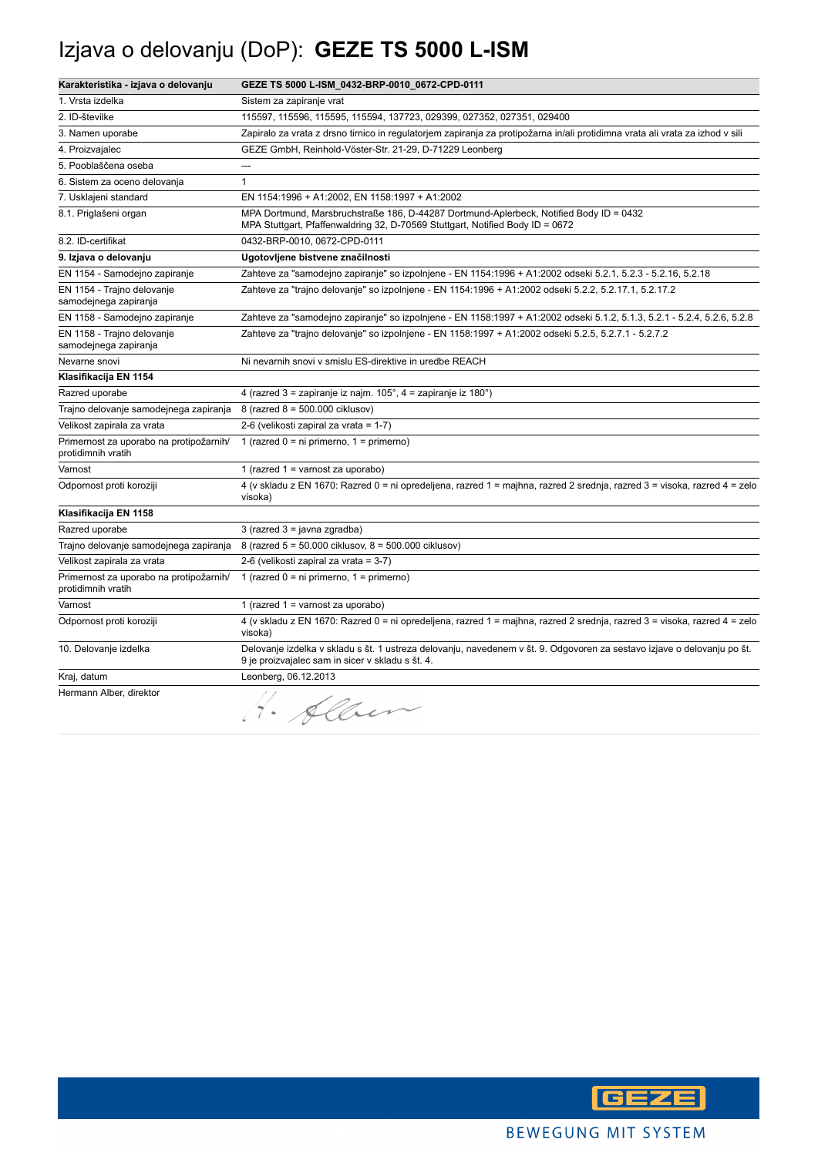# Izjava o delovanju (DoP): **GEZE TS 5000 L-ISM**

| Karakteristika - izjava o delovanju                           | GEZE TS 5000 L-ISM_0432-BRP-0010_0672-CPD-0111                                                                                                                              |
|---------------------------------------------------------------|-----------------------------------------------------------------------------------------------------------------------------------------------------------------------------|
| 1. Vrsta izdelka                                              | Sistem za zapiranje vrat                                                                                                                                                    |
| 2. ID-številke                                                | 115597, 115596, 115595, 115594, 137723, 029399, 027352, 027351, 029400                                                                                                      |
| 3. Namen uporabe                                              | Zapiralo za vrata z drsno tirnico in regulatorjem zapiranja za protipožarna in/ali protidimna vrata ali vrata za izhod v sili                                               |
| 4. Proizvajalec                                               | GEZE GmbH, Reinhold-Vöster-Str. 21-29, D-71229 Leonberg                                                                                                                     |
| 5. Pooblaščena oseba                                          | ---                                                                                                                                                                         |
| 6. Sistem za oceno delovanja                                  | $\mathbf{1}$                                                                                                                                                                |
| 7. Usklajeni standard                                         | EN 1154:1996 + A1:2002, EN 1158:1997 + A1:2002                                                                                                                              |
| 8.1. Priglašeni organ                                         | MPA Dortmund, Marsbruchstraße 186, D-44287 Dortmund-Aplerbeck, Notified Body ID = 0432<br>MPA Stuttgart, Pfaffenwaldring 32, D-70569 Stuttgart, Notified Body ID = 0672     |
| 8.2. ID-certifikat                                            | 0432-BRP-0010, 0672-CPD-0111                                                                                                                                                |
| 9. Izjava o delovanju                                         | Ugotovljene bistvene značilnosti                                                                                                                                            |
| EN 1154 - Samodejno zapiranje                                 | Zahteve za "samodejno zapiranje" so izpolnjene - EN 1154:1996 + A1:2002 odseki 5.2.1, 5.2.3 - 5.2.16, 5.2.18                                                                |
| EN 1154 - Trajno delovanje<br>samodejnega zapiranja           | Zahteve za "trajno delovanje" so izpolnjene - EN 1154:1996 + A1:2002 odseki 5.2.2, 5.2.17.1, 5.2.17.2                                                                       |
| EN 1158 - Samodejno zapiranje                                 | Zahteve za "samodejno zapiranje" so izpolnjene - EN 1158:1997 + A1:2002 odseki 5.1.2, 5.1.3, 5.2.1 - 5.2.4, 5.2.6, 5.2.8                                                    |
| EN 1158 - Trajno delovanje<br>samodejnega zapiranja           | Zahteve za "trajno delovanje" so izpolnjene - EN 1158:1997 + A1:2002 odseki 5.2.5, 5.2.7.1 - 5.2.7.2                                                                        |
| Nevarne snovi                                                 | Ni nevarnih snovi v smislu ES-direktive in uredbe REACH                                                                                                                     |
| Klasifikacija EN 1154                                         |                                                                                                                                                                             |
| Razred uporabe                                                | 4 (razred 3 = zapiranje iz najm. 105°, 4 = zapiranje iz 180°)                                                                                                               |
| Trajno delovanje samodejnega zapiranja                        | 8 (razred 8 = 500.000 ciklusov)                                                                                                                                             |
| Velikost zapirala za vrata                                    | 2-6 (velikosti zapiral za vrata = 1-7)                                                                                                                                      |
| Primernost za uporabo na protipožarnih/<br>protidimnih vratih | 1 (razred $0 = ni$ primerno, $1 = pi$ merno)                                                                                                                                |
| Varnost                                                       | 1 (razred $1 =$ varnost za uporabo)                                                                                                                                         |
| Odpornost proti koroziji                                      | 4 (v skladu z EN 1670: Razred 0 = ni opredeljena, razred 1 = majhna, razred 2 srednja, razred 3 = visoka, razred 4 = zelo<br>visoka)                                        |
| Klasifikacija EN 1158                                         |                                                                                                                                                                             |
| Razred uporabe                                                | 3 (razred 3 = javna zgradba)                                                                                                                                                |
| Trajno delovanje samodejnega zapiranja                        | 8 (razred 5 = 50.000 ciklusov, 8 = 500.000 ciklusov)                                                                                                                        |
| Velikost zapirala za vrata                                    | 2-6 (velikosti zapiral za vrata = 3-7)                                                                                                                                      |
| Primernost za uporabo na protipožarnih/<br>protidimnih vratih | 1 (razred $0 = ni$ primerno, $1 = pi$ merno)                                                                                                                                |
| Varnost                                                       | 1 (razred $1 =$ varnost za uporabo)                                                                                                                                         |
| Odpornost proti koroziji                                      | 4 (v skladu z EN 1670: Razred 0 = ni opredeljena, razred 1 = majhna, razred 2 srednja, razred 3 = visoka, razred 4 = zelo<br>visoka)                                        |
| 10. Delovanje izdelka                                         | Delovanje izdelka v skladu s št. 1 ustreza delovanju, navedenem v št. 9. Odgovoren za sestavo izjave o delovanju po št.<br>9 je proizvajalec sam in sicer v skladu s št. 4. |
| Kraj, datum                                                   | Leonberg, 06.12.2013                                                                                                                                                        |
| Hermann Alber, direktor                                       | Alben<br>$\Delta$                                                                                                                                                           |

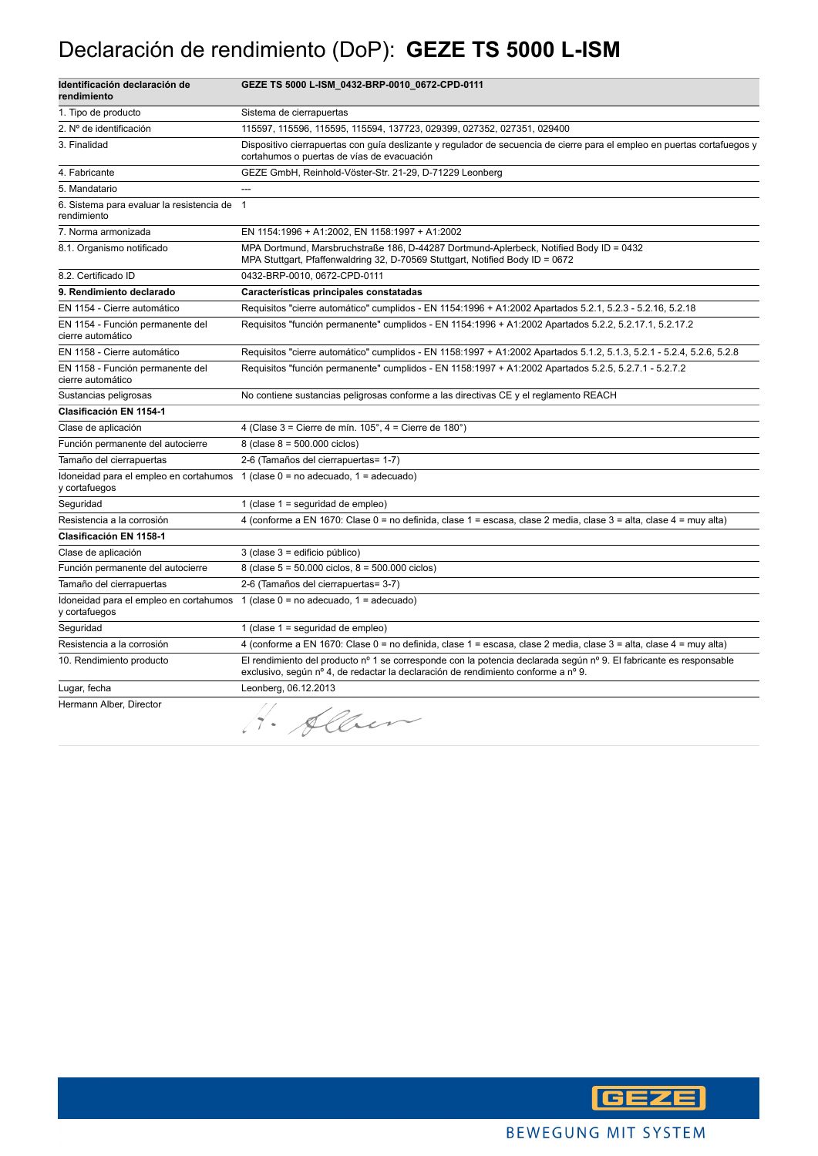### Declaración de rendimiento (DoP): **GEZE TS 5000 L-ISM**

| Identificación declaración de<br>rendimiento             | GEZE TS 5000 L-ISM_0432-BRP-0010_0672-CPD-0111                                                                                                                                                          |
|----------------------------------------------------------|---------------------------------------------------------------------------------------------------------------------------------------------------------------------------------------------------------|
| 1. Tipo de producto                                      | Sistema de cierrapuertas                                                                                                                                                                                |
| 2. Nº de identificación                                  | 115597, 115596, 115595, 115594, 137723, 029399, 027352, 027351, 029400                                                                                                                                  |
| 3. Finalidad                                             | Dispositivo cierrapuertas con guía deslizante y regulador de secuencia de cierre para el empleo en puertas cortafuegos y<br>cortahumos o puertas de vías de evacuación                                  |
| 4. Fabricante                                            | GEZE GmbH, Reinhold-Vöster-Str. 21-29, D-71229 Leonberg                                                                                                                                                 |
| 5. Mandatario                                            |                                                                                                                                                                                                         |
| 6. Sistema para evaluar la resistencia de<br>rendimiento | $\overline{1}$                                                                                                                                                                                          |
| 7. Norma armonizada                                      | EN 1154:1996 + A1:2002, EN 1158:1997 + A1:2002                                                                                                                                                          |
| 8.1. Organismo notificado                                | MPA Dortmund, Marsbruchstraße 186, D-44287 Dortmund-Aplerbeck, Notified Body ID = 0432<br>MPA Stuttgart, Pfaffenwaldring 32, D-70569 Stuttgart, Notified Body ID = 0672                                 |
| 8.2. Certificado ID                                      | 0432-BRP-0010, 0672-CPD-0111                                                                                                                                                                            |
| 9. Rendimiento declarado                                 | Características principales constatadas                                                                                                                                                                 |
| EN 1154 - Cierre automático                              | Requisitos "cierre automático" cumplidos - EN 1154:1996 + A1:2002 Apartados 5.2.1, 5.2.3 - 5.2.16, 5.2.18                                                                                               |
| EN 1154 - Función permanente del<br>cierre automático    | Requisitos "función permanente" cumplidos - EN 1154:1996 + A1:2002 Apartados 5.2.2, 5.2.17.1, 5.2.17.2                                                                                                  |
| EN 1158 - Cierre automático                              | Requisitos "cierre automático" cumplidos - EN 1158:1997 + A1:2002 Apartados 5.1.2, 5.1.3, 5.2.1 - 5.2.4, 5.2.6, 5.2.8                                                                                   |
| EN 1158 - Función permanente del<br>cierre automático    | Requisitos "función permanente" cumplidos - EN 1158:1997 + A1:2002 Apartados 5.2.5, 5.2.7.1 - 5.2.7.2                                                                                                   |
| Sustancias peligrosas                                    | No contiene sustancias peligrosas conforme a las directivas CE y el reglamento REACH                                                                                                                    |
| Clasificación EN 1154-1                                  |                                                                                                                                                                                                         |
| Clase de aplicación                                      | 4 (Clase $3 =$ Cierre de mín. $105^\circ$ , $4 =$ Cierre de $180^\circ$ )                                                                                                                               |
| Función permanente del autocierre                        | 8 (clase $8 = 500.000$ ciclos)                                                                                                                                                                          |
| Tamaño del cierrapuertas                                 | 2-6 (Tamaños del cierrapuertas= 1-7)                                                                                                                                                                    |
| y cortafuegos                                            | Idoneidad para el empleo en cortahumos $1$ (clase $0 =$ no adecuado, $1 =$ adecuado)                                                                                                                    |
| Seguridad                                                | 1 (clase 1 = seguridad de empleo)                                                                                                                                                                       |
| Resistencia a la corrosión                               | 4 (conforme a EN 1670: Clase 0 = no definida, clase 1 = escasa, clase 2 media, clase 3 = alta, clase 4 = muy alta)                                                                                      |
| Clasificación EN 1158-1                                  |                                                                                                                                                                                                         |
| Clase de aplicación                                      | 3 (clase 3 = edificio público)                                                                                                                                                                          |
| Función permanente del autocierre                        | 8 (clase $5 = 50.000$ ciclos, $8 = 500.000$ ciclos)                                                                                                                                                     |
| Tamaño del cierrapuertas                                 | 2-6 (Tamaños del cierrapuertas= 3-7)                                                                                                                                                                    |
| y cortafuegos                                            | Idoneidad para el empleo en cortahumos $1$ (clase $0 =$ no adecuado, $1 =$ adecuado)                                                                                                                    |
| Seguridad                                                | 1 (clase 1 = seguridad de empleo)                                                                                                                                                                       |
| Resistencia a la corrosión                               | 4 (conforme a EN 1670: Clase 0 = no definida, clase 1 = escasa, clase 2 media, clase 3 = alta, clase 4 = muy alta)                                                                                      |
| 10. Rendimiento producto                                 | El rendimiento del producto nº 1 se corresponde con la potencia declarada según nº 9. El fabricante es responsable<br>exclusivo, según nº 4, de redactar la declaración de rendimiento conforme a nº 9. |
| Lugar, fecha                                             | Leonberg, 06.12.2013                                                                                                                                                                                    |
| Hermann Alber, Director                                  | 1. Alben                                                                                                                                                                                                |

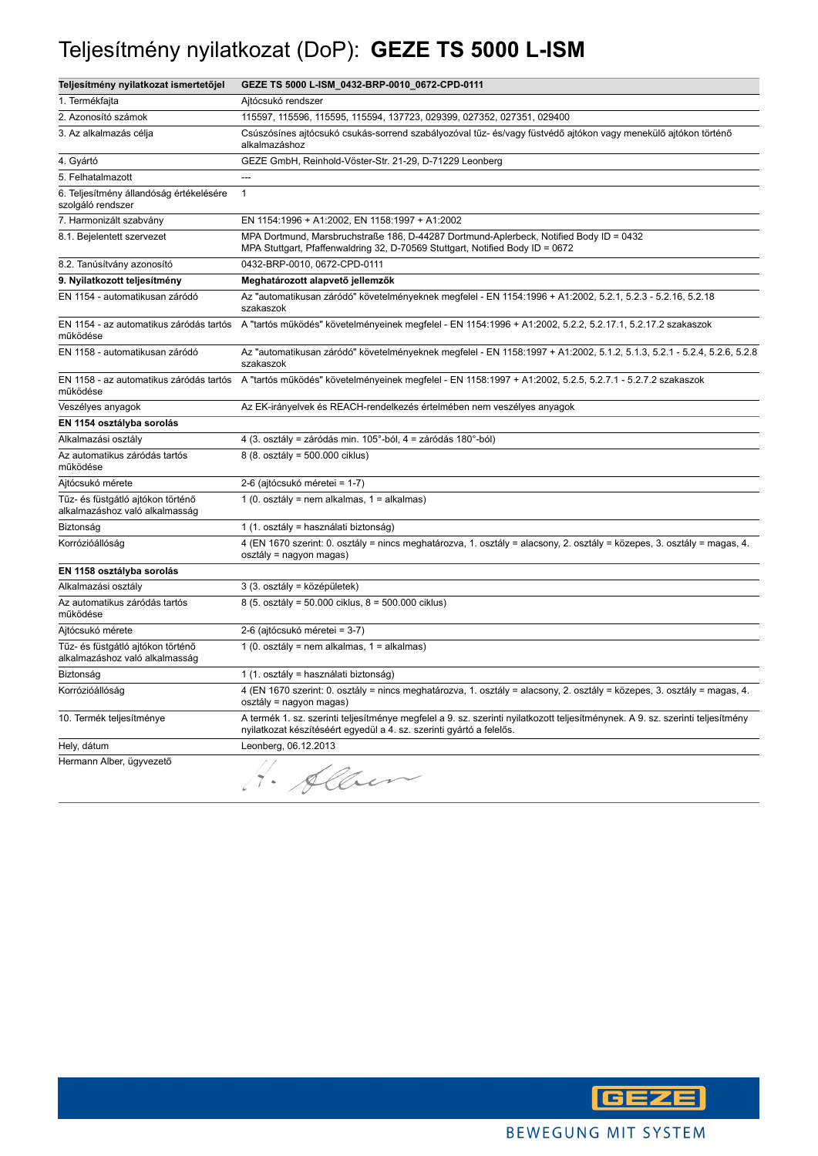### Teljesítmény nyilatkozat (DoP): **GEZE TS 5000 L-ISM**

| Teljesítmény nyilatkozat ismertetőjel                               | GEZE TS 5000 L-ISM_0432-BRP-0010_0672-CPD-0111                                                                                                                                                         |
|---------------------------------------------------------------------|--------------------------------------------------------------------------------------------------------------------------------------------------------------------------------------------------------|
| 1. Termékfajta                                                      | Ajtócsukó rendszer                                                                                                                                                                                     |
| 2. Azonosító számok                                                 | 115597, 115596, 115595, 115594, 137723, 029399, 027352, 027351, 029400                                                                                                                                 |
| 3. Az alkalmazás célja                                              | Csúszósínes ajtócsukó csukás-sorrend szabályozóval tűz- és/vagy füstvédő ajtókon vagy menekülő ajtókon történő<br>alkalmazáshoz                                                                        |
| 4. Gyártó                                                           | GEZE GmbH, Reinhold-Vöster-Str. 21-29, D-71229 Leonberg                                                                                                                                                |
| 5. Felhatalmazott                                                   | ---                                                                                                                                                                                                    |
| 6. Teljesítmény állandóság értékelésére<br>szolgáló rendszer        | $\mathbf{1}$                                                                                                                                                                                           |
| 7. Harmonizált szabvány                                             | EN 1154:1996 + A1:2002, EN 1158:1997 + A1:2002                                                                                                                                                         |
| 8.1. Bejelentett szervezet                                          | MPA Dortmund, Marsbruchstraße 186, D-44287 Dortmund-Aplerbeck, Notified Body ID = 0432<br>MPA Stuttgart, Pfaffenwaldring 32, D-70569 Stuttgart, Notified Body ID = 0672                                |
| 8.2. Tanúsítvány azonosító                                          | 0432-BRP-0010, 0672-CPD-0111                                                                                                                                                                           |
| 9. Nyilatkozott teljesítmény                                        | Meghatározott alapvető jellemzők                                                                                                                                                                       |
| EN 1154 - automatikusan záródó                                      | Az "automatikusan záródó" követelményeknek megfelel - EN 1154:1996 + A1:2002, 5.2.1, 5.2.3 - 5.2.16, 5.2.18<br>szakaszok                                                                               |
| működése                                                            | EN 1154 - az automatikus záródás tartós A "tartós működés" követelményeinek megfelel - EN 1154:1996 + A1:2002, 5.2.2, 5.2.17.1, 5.2.17.2 szakaszok                                                     |
| EN 1158 - automatikusan záródó                                      | Az "automatikusan záródó" követelményeknek megfelel - EN 1158:1997 + A1:2002, 5.1.2, 5.1.3, 5.2.1 - 5.2.4, 5.2.6, 5.2.8<br>szakaszok                                                                   |
| EN 1158 - az automatikus záródás tartós<br>működése                 | A "tartós működés" követelményeinek megfelel - EN 1158:1997 + A1:2002, 5.2.5, 5.2.7.1 - 5.2.7.2 szakaszok                                                                                              |
| Veszélyes anyagok                                                   | Az EK-irányelvek és REACH-rendelkezés értelmében nem veszélyes anyagok                                                                                                                                 |
| EN 1154 osztályba sorolás                                           |                                                                                                                                                                                                        |
| Alkalmazási osztály                                                 | 4 (3. osztály = záródás min. 105°-ból, 4 = záródás 180°-ból)                                                                                                                                           |
| Az automatikus záródás tartós<br>működése                           | 8 (8. osztály = 500.000 ciklus)                                                                                                                                                                        |
| Ajtócsukó mérete                                                    | 2-6 (ajtócsukó méretei = 1-7)                                                                                                                                                                          |
| Tűz- és füstgátló ajtókon történő<br>alkalmazáshoz való alkalmasság | 1 (0. osztály = nem alkalmas, 1 = alkalmas)                                                                                                                                                            |
| Biztonság                                                           | 1 (1. osztály = használati biztonság)                                                                                                                                                                  |
| Korrózióállóság                                                     | 4 (EN 1670 szerint: 0. osztály = nincs meghatározva, 1. osztály = alacsony, 2. osztály = közepes, 3. osztály = magas, 4.<br>osztály = nagyon magas)                                                    |
| EN 1158 osztályba sorolás                                           |                                                                                                                                                                                                        |
| Alkalmazási osztály                                                 | 3 (3. osztály = középületek)                                                                                                                                                                           |
| Az automatikus záródás tartós<br>működése                           | 8 (5. osztály = 50.000 ciklus, 8 = 500.000 ciklus)                                                                                                                                                     |
| Ajtócsukó mérete                                                    | 2-6 (ajtócsukó méretei = 3-7)                                                                                                                                                                          |
| Tűz- és füstgátló ajtókon történő<br>alkalmazáshoz való alkalmasság | 1 (0. osztály = nem alkalmas, 1 = alkalmas)                                                                                                                                                            |
| Biztonság                                                           | 1 (1. osztály = használati biztonság)                                                                                                                                                                  |
| Korrózióállóság                                                     | 4 (EN 1670 szerint: 0. osztály = nincs meghatározva, 1. osztály = alacsony, 2. osztály = közepes, 3. osztály = magas, 4.<br>osztály = nagyon magas)                                                    |
| 10. Termék teljesítménye                                            | A termék 1. sz. szerinti teljesítménye megfelel a 9. sz. szerinti nyilatkozott teljesítménynek. A 9. sz. szerinti teljesítmény<br>nyilatkozat készítéséért egyedül a 4. sz. szerinti gyártó a felelős. |
| Hely, dátum                                                         | Leonberg, 06.12.2013                                                                                                                                                                                   |
| Hermann Alber, ügyvezető                                            | Albert                                                                                                                                                                                                 |

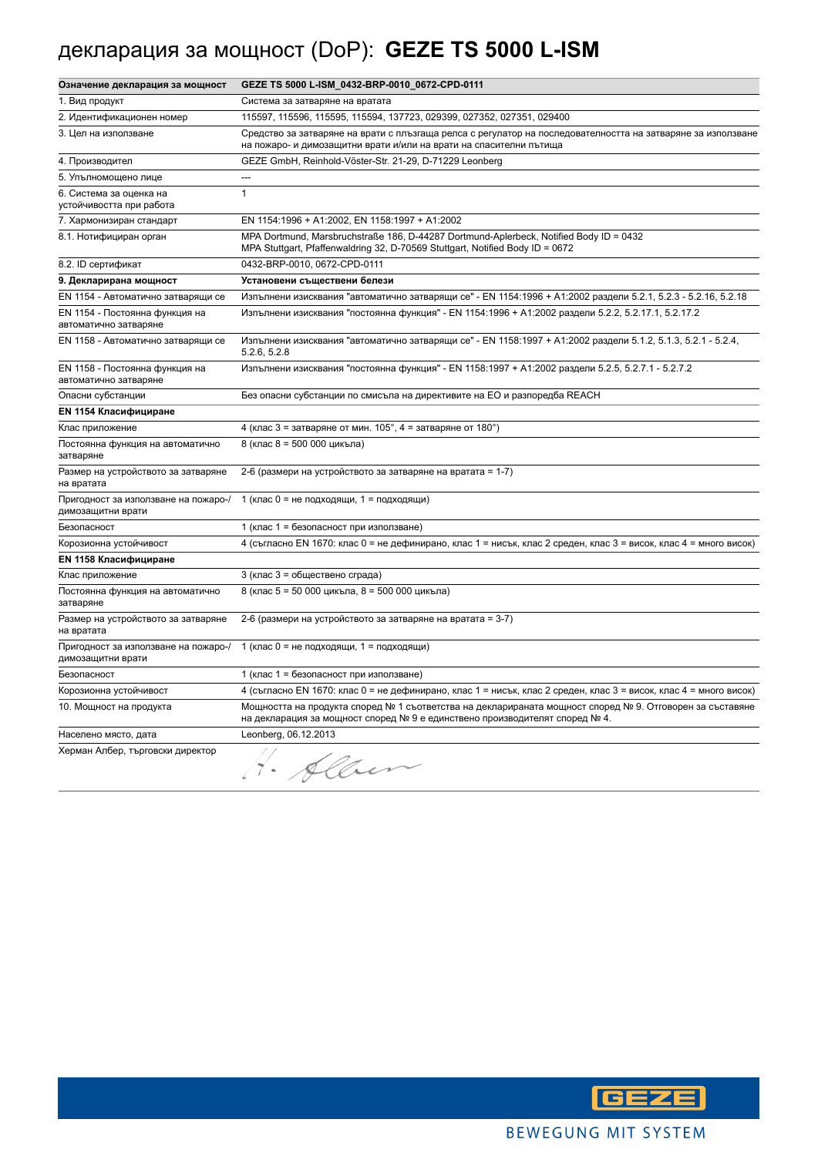# декларация за мощност (DoP): **GEZE TS 5000 L-ISM**

| Означение декларация за мощност                           | GEZE TS 5000 L-ISM_0432-BRP-0010_0672-CPD-0111                                                                                                                                          |
|-----------------------------------------------------------|-----------------------------------------------------------------------------------------------------------------------------------------------------------------------------------------|
| 1. Вид продукт                                            | Система за затваряне на вратата                                                                                                                                                         |
| 2. Идентификационен номер                                 | 115597, 115596, 115595, 115594, 137723, 029399, 027352, 027351, 029400                                                                                                                  |
| 3. Цел на използване                                      | Средство за затваряне на врати с плъзгаща релса с регулатор на последователността на затваряне за използване<br>на пожаро- и димозащитни врати и/или на врати на спасителни пътища      |
| 4. Производител                                           | GEZE GmbH, Reinhold-Vöster-Str. 21-29, D-71229 Leonberg                                                                                                                                 |
| 5. Упълномощено лице                                      | $\overline{a}$                                                                                                                                                                          |
| 6. Система за оценка на<br>устойчивостта при работа       | $\mathbf{1}$                                                                                                                                                                            |
| 7. Хармонизиран стандарт                                  | EN 1154:1996 + A1:2002, EN 1158:1997 + A1:2002                                                                                                                                          |
| 8.1. Нотифициран орган                                    | MPA Dortmund, Marsbruchstraße 186, D-44287 Dortmund-Aplerbeck, Notified Body ID = 0432<br>MPA Stuttgart, Pfaffenwaldring 32, D-70569 Stuttgart, Notified Body ID = 0672                 |
| 8.2. ID сертификат                                        | 0432-BRP-0010, 0672-CPD-0111                                                                                                                                                            |
| 9. Декларирана мощност                                    | Установени съществени белези                                                                                                                                                            |
| EN 1154 - Автоматично затварящи се                        | Изпълнени изисквания "автоматично затварящи се" - EN 1154:1996 + A1:2002 раздели 5.2.1, 5.2.3 - 5.2.16, 5.2.18                                                                          |
| EN 1154 - Постоянна функция на<br>автоматично затваряне   | Изпълнени изисквания "постоянна функция" - EN 1154:1996 + A1:2002 раздели 5.2.2, 5.2.17.1, 5.2.17.2                                                                                     |
| EN 1158 - Автоматично затварящи се                        | Изпълнени изисквания "автоматично затварящи се" - EN 1158:1997 + A1:2002 раздели 5.1.2, 5.1.3, 5.2.1 - 5.2.4,<br>5.2.6, 5.2.8                                                           |
| EN 1158 - Постоянна функция на<br>автоматично затваряне   | Изпълнени изисквания "постоянна функция" - EN 1158:1997 + A1:2002 раздели 5.2.5, 5.2.7.1 - 5.2.7.2                                                                                      |
| Опасни субстанции                                         | Без опасни субстанции по смисъла на директивите на ЕО и разпоредба REACH                                                                                                                |
| <b>EN 1154 Класифициране</b>                              |                                                                                                                                                                                         |
| Клас приложение                                           | 4 (клас 3 = затваряне от мин. $105^\circ$ , 4 = затваряне от $180^\circ$ )                                                                                                              |
| Постоянна функция на автоматично<br>затваряне             | 8 (клас 8 = 500 000 цикъла)                                                                                                                                                             |
| Размер на устройството за затваряне<br>на вратата         | 2-6 (размери на устройството за затваряне на вратата = 1-7)                                                                                                                             |
| Пригодност за използване на пожаро-/<br>димозащитни врати | 1 (клас 0 = не подходящи, 1 = подходящи)                                                                                                                                                |
| Безопасност                                               | 1 (клас 1 = безопасност при използване)                                                                                                                                                 |
| Корозионна устойчивост                                    | 4 (съгласно EN 1670: клас 0 = не дефинирано, клас 1 = нисък, клас 2 среден, клас 3 = висок, клас 4 = много висок)                                                                       |
| <b>EN 1158 Класифициране</b>                              |                                                                                                                                                                                         |
| Клас приложение                                           | 3 (клас 3 = обществено сграда)                                                                                                                                                          |
| Постоянна функция на автоматично<br>затваряне             | 8 (клас 5 = 50 000 цикъла, 8 = 500 000 цикъла)                                                                                                                                          |
| Размер на устройството за затваряне<br>на вратата         | 2-6 (размери на устройството за затваряне на вратата = 3-7)                                                                                                                             |
| Пригодност за използване на пожаро-/<br>димозащитни врати | 1 (клас 0 = не подходящи, 1 = подходящи)                                                                                                                                                |
| Безопасност                                               | 1 (клас 1 = безопасност при използване)                                                                                                                                                 |
| Корозионна устойчивост                                    | 4 (съгласно EN 1670: клас 0 = не дефинирано, клас 1 = нисък, клас 2 среден, клас 3 = висок, клас 4 = много висок)                                                                       |
| 10. Мощност на продукта                                   | Мощността на продукта според № 1 съответства на декларираната мощност според № 9. Отговорен за съставяне<br>на декларация за мощност според № 9 е единствено производителят според № 4. |
| Населено място, дата                                      | Leonberg, 06.12.2013                                                                                                                                                                    |
| Херман Албер, търговски директор                          | H. Alben                                                                                                                                                                                |

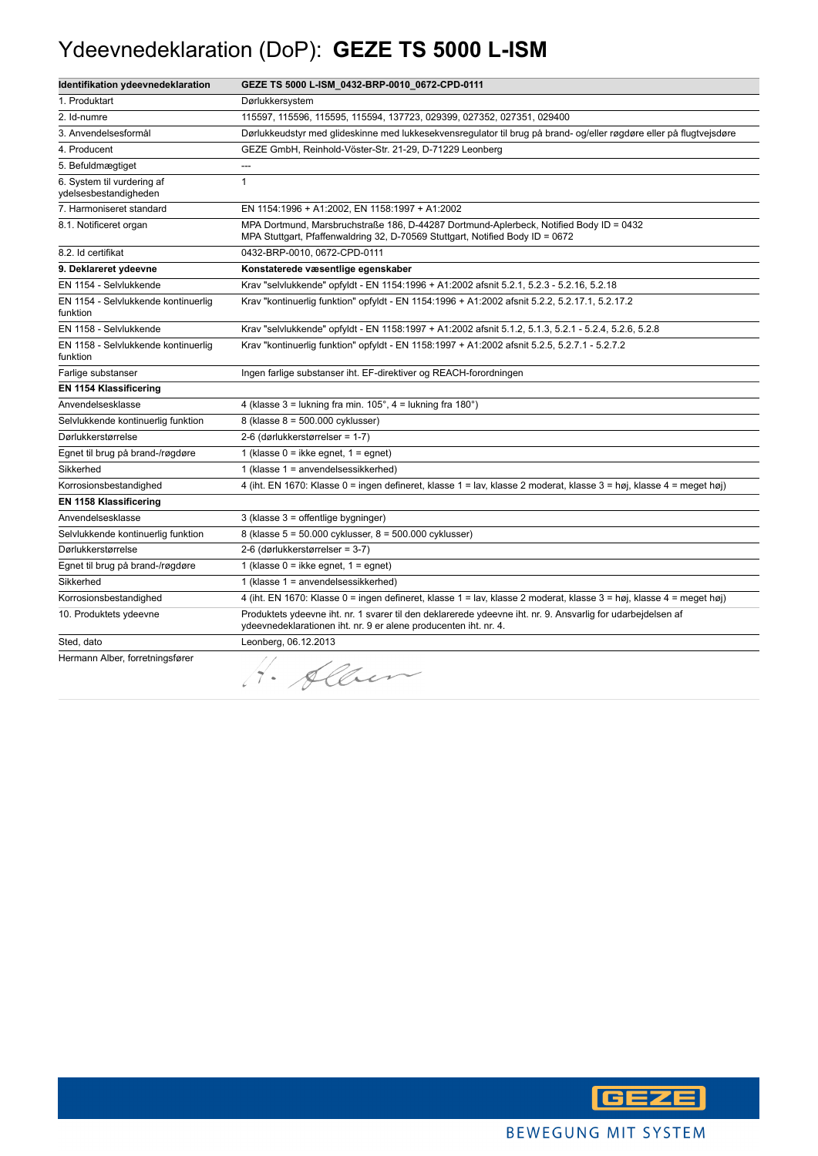### Ydeevnedeklaration (DoP): **GEZE TS 5000 L-ISM**

| Identifikation ydeevnedeklaration                   | GEZE TS 5000 L-ISM_0432-BRP-0010_0672-CPD-0111                                                                                                                                  |
|-----------------------------------------------------|---------------------------------------------------------------------------------------------------------------------------------------------------------------------------------|
| 1. Produktart                                       | Dørlukkersystem                                                                                                                                                                 |
| 2. Id-numre                                         | 115597, 115596, 115595, 115594, 137723, 029399, 027352, 027351, 029400                                                                                                          |
| 3. Anvendelsesformål                                | Dørlukkeudstyr med glideskinne med lukkesekvensregulator til brug på brand- og/eller røgdøre eller på flugtvejsdøre                                                             |
| 4. Producent                                        | GEZE GmbH, Reinhold-Vöster-Str. 21-29, D-71229 Leonberg                                                                                                                         |
| 5. Befuldmægtiget                                   | ---                                                                                                                                                                             |
| 6. System til vurdering af<br>ydelsesbestandigheden | $\mathbf{1}$                                                                                                                                                                    |
| 7. Harmoniseret standard                            | EN 1154:1996 + A1:2002, EN 1158:1997 + A1:2002                                                                                                                                  |
| 8.1. Notificeret organ                              | MPA Dortmund, Marsbruchstraße 186, D-44287 Dortmund-Aplerbeck, Notified Body ID = 0432<br>MPA Stuttgart, Pfaffenwaldring 32, D-70569 Stuttgart, Notified Body ID = 0672         |
| 8.2. Id certifikat                                  | 0432-BRP-0010, 0672-CPD-0111                                                                                                                                                    |
| 9. Deklareret ydeevne                               | Konstaterede væsentlige egenskaber                                                                                                                                              |
| EN 1154 - Selvlukkende                              | Krav "selvlukkende" opfyldt - EN 1154:1996 + A1:2002 afsnit 5.2.1, 5.2.3 - 5.2.16, 5.2.18                                                                                       |
| EN 1154 - Selvlukkende kontinuerlig<br>funktion     | Krav "kontinuerlig funktion" opfyldt - EN 1154:1996 + A1:2002 afsnit 5.2.2, 5.2.17.1, 5.2.17.2                                                                                  |
| EN 1158 - Selvlukkende                              | Krav "selvlukkende" opfyldt - EN 1158:1997 + A1:2002 afsnit 5.1.2, 5.1.3, 5.2.1 - 5.2.4, 5.2.6, 5.2.8                                                                           |
| EN 1158 - Selvlukkende kontinuerlig<br>funktion     | Krav "kontinuerlig funktion" opfyldt - EN 1158:1997 + A1:2002 afsnit 5.2.5, 5.2.7.1 - 5.2.7.2                                                                                   |
| Farlige substanser                                  | Ingen farlige substanser iht. EF-direktiver og REACH-forordningen                                                                                                               |
| <b>EN 1154 Klassificering</b>                       |                                                                                                                                                                                 |
| Anvendelsesklasse                                   | 4 (klasse $3 =$ lukning fra min. $105^\circ$ , $4 =$ lukning fra $180^\circ$ )                                                                                                  |
| Selvlukkende kontinuerlig funktion                  | 8 (klasse 8 = 500.000 cyklusser)                                                                                                                                                |
| Dørlukkerstørrelse                                  | 2-6 (dørlukkerstørrelser = 1-7)                                                                                                                                                 |
| Egnet til brug på brand-/røgdøre                    | 1 (klasse $0 =$ ikke egnet, $1 =$ egnet)                                                                                                                                        |
| Sikkerhed                                           | 1 (klasse 1 = anvendelsessikkerhed)                                                                                                                                             |
| Korrosionsbestandighed                              | 4 (iht. EN 1670: Klasse 0 = ingen defineret, klasse 1 = lav, klasse 2 moderat, klasse 3 = høj, klasse 4 = meget høj)                                                            |
| <b>EN 1158 Klassificering</b>                       |                                                                                                                                                                                 |
| Anvendelsesklasse                                   | 3 (klasse 3 = offentlige bygninger)                                                                                                                                             |
| Selvlukkende kontinuerlig funktion                  | 8 (klasse 5 = 50.000 cyklusser, 8 = 500.000 cyklusser)                                                                                                                          |
| Dørlukkerstørrelse                                  | 2-6 (dørlukkerstørrelser = 3-7)                                                                                                                                                 |
| Egnet til brug på brand-/røgdøre                    | 1 (klasse $0 =$ ikke egnet, $1 =$ egnet)                                                                                                                                        |
| Sikkerhed                                           | 1 (klasse 1 = anvendelsessikkerhed)                                                                                                                                             |
| Korrosionsbestandighed                              | 4 (iht. EN 1670: Klasse 0 = ingen defineret, klasse 1 = lav, klasse 2 moderat, klasse 3 = høj, klasse 4 = meget høj)                                                            |
| 10. Produktets ydeevne                              | Produktets ydeevne iht. nr. 1 svarer til den deklarerede ydeevne iht. nr. 9. Ansvarlig for udarbejdelsen af<br>ydeevnedeklarationen iht. nr. 9 er alene producenten iht. nr. 4. |
| Sted, dato                                          | Leonberg, 06.12.2013                                                                                                                                                            |
| Hermann Alber, forretningsfører                     | · Alber                                                                                                                                                                         |

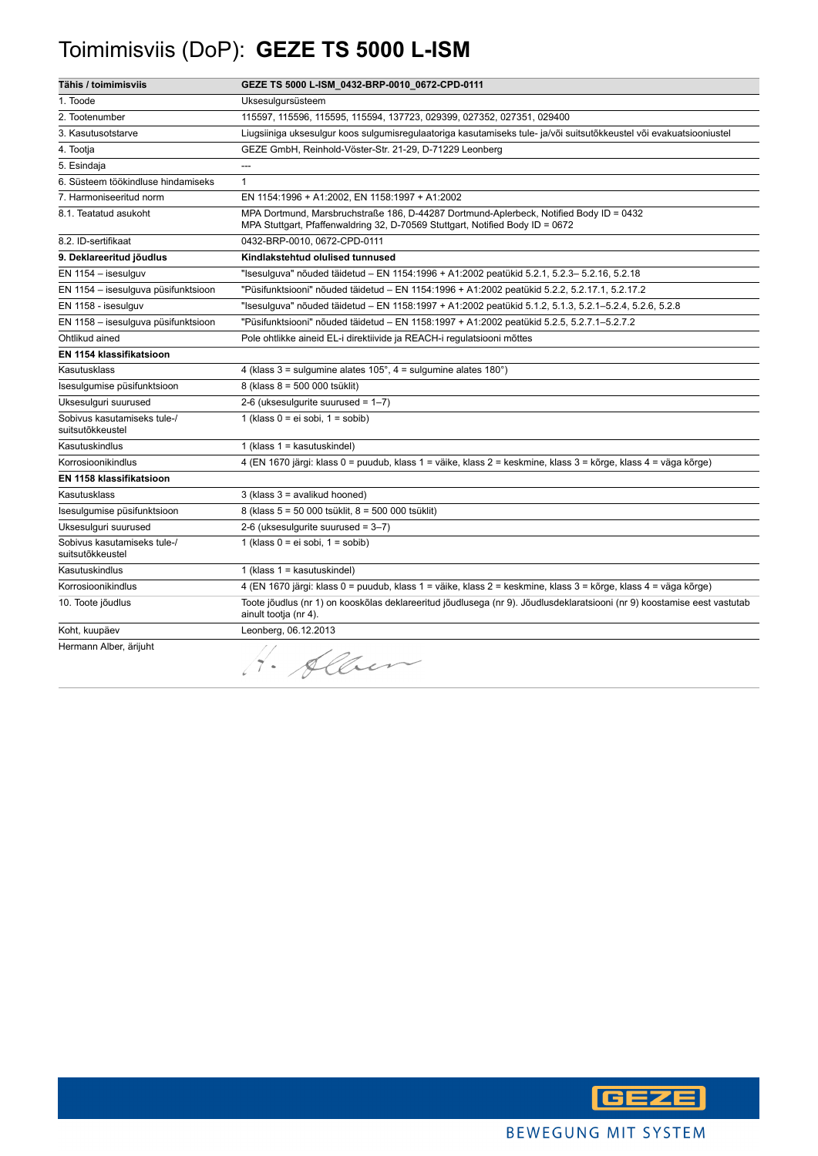### Toimimisviis (DoP): **GEZE TS 5000 L-ISM**

| Tähis / toimimisviis                            | GEZE TS 5000 L-ISM_0432-BRP-0010_0672-CPD-0111                                                                                                                          |
|-------------------------------------------------|-------------------------------------------------------------------------------------------------------------------------------------------------------------------------|
| 1. Toode                                        | Uksesulgursüsteem                                                                                                                                                       |
| 2. Tootenumber                                  | 115597, 115596, 115595, 115594, 137723, 029399, 027352, 027351, 029400                                                                                                  |
| 3. Kasutusotstarve                              | Liugsiiniga uksesulgur koos sulgumisregulaatoriga kasutamiseks tule- ja/või suitsutõkkeustel või evakuatsiooniustel                                                     |
| 4. Tootja                                       | GEZE GmbH, Reinhold-Vöster-Str. 21-29, D-71229 Leonberg                                                                                                                 |
| 5. Esindaja                                     |                                                                                                                                                                         |
| 6. Süsteem töökindluse hindamiseks              | $\mathbf{1}$                                                                                                                                                            |
| 7. Harmoniseeritud norm                         | EN 1154:1996 + A1:2002, EN 1158:1997 + A1:2002                                                                                                                          |
| 8.1. Teatatud asukoht                           | MPA Dortmund, Marsbruchstraße 186, D-44287 Dortmund-Aplerbeck, Notified Body ID = 0432<br>MPA Stuttgart, Pfaffenwaldring 32, D-70569 Stuttgart, Notified Body ID = 0672 |
| 8.2. ID-sertifikaat                             | 0432-BRP-0010, 0672-CPD-0111                                                                                                                                            |
| 9. Deklareeritud jõudlus                        | Kindlakstehtud olulised tunnused                                                                                                                                        |
| $EN$ 1154 - isesulguv                           | "Isesulguva" nõuded täidetud – EN 1154:1996 + A1:2002 peatükid 5.2.1, 5.2.3– 5.2.16, 5.2.18                                                                             |
| EN 1154 - isesulguva püsifunktsioon             | "Püsifunktsiooni" nõuded täidetud - EN 1154:1996 + A1:2002 peatükid 5.2.2, 5.2.17.1, 5.2.17.2                                                                           |
| EN 1158 - isesulguv                             | lsesulguva" nõuded täidetud – EN 1158:1997 + A1:2002 peatükid 5.1.2, 5.1.3, 5.2.1–5.2.4, 5.2.6, 5.2.8"                                                                  |
| EN 1158 - isesulguva püsifunktsioon             | "Püsifunktsiooni" nõuded täidetud - EN 1158:1997 + A1:2002 peatükid 5.2.5, 5.2.7.1-5.2.7.2                                                                              |
| Ohtlikud ained                                  | Pole ohtlikke aineid EL-i direktiivide ja REACH-i regulatsiooni mõttes                                                                                                  |
| EN 1154 klassifikatsioon                        |                                                                                                                                                                         |
| Kasutusklass                                    | 4 (klass $3 =$ sulgumine alates $105^{\circ}$ , $4 =$ sulgumine alates $180^{\circ}$ )                                                                                  |
| Isesulgumise püsifunktsioon                     | 8 (klass 8 = 500 000 tsüklit)                                                                                                                                           |
| Uksesulguri suurused                            | 2-6 (uksesulgurite suurused = $1-7$ )                                                                                                                                   |
| Sobivus kasutamiseks tule-/<br>suitsutõkkeustel | 1 (klass $0 = ei$ sobi, $1 =$ sobib)                                                                                                                                    |
| Kasutuskindlus                                  | 1 (klass $1 =$ kasutuskindel)                                                                                                                                           |
| Korrosioonikindlus                              | 4 (EN 1670 järgi: klass 0 = puudub, klass 1 = väike, klass 2 = keskmine, klass 3 = kõrge, klass 4 = väga kõrge)                                                         |
| <b>EN 1158 klassifikatsioon</b>                 |                                                                                                                                                                         |
| Kasutusklass                                    | $3$ (klass $3 =$ avalikud hooned)                                                                                                                                       |
| Isesulgumise püsifunktsioon                     | 8 (klass 5 = 50 000 tsüklit, 8 = 500 000 tsüklit)                                                                                                                       |
| Uksesulguri suurused                            | 2-6 (uksesulgurite suurused = $3-7$ )                                                                                                                                   |
| Sobivus kasutamiseks tule-/<br>suitsutõkkeustel | 1 (klass $0 = ei$ sobi, $1 =$ sobib)                                                                                                                                    |
| Kasutuskindlus                                  | 1 (klass $1 =$ kasutuskindel)                                                                                                                                           |
| Korrosioonikindlus                              | 4 (EN 1670 järgi: klass 0 = puudub, klass 1 = väike, klass 2 = keskmine, klass 3 = kõrge, klass 4 = väga kõrge)                                                         |
| 10. Toote jõudlus                               | Toote jõudlus (nr 1) on kooskõlas deklareeritud jõudlusega (nr 9). Jõudlusdeklaratsiooni (nr 9) koostamise eest vastutab<br>ainult tootja (nr 4).                       |
| Koht, kuupäev                                   | Leonberg, 06.12.2013                                                                                                                                                    |
| Hermann Alber, ärijuht                          | H. Alber                                                                                                                                                                |

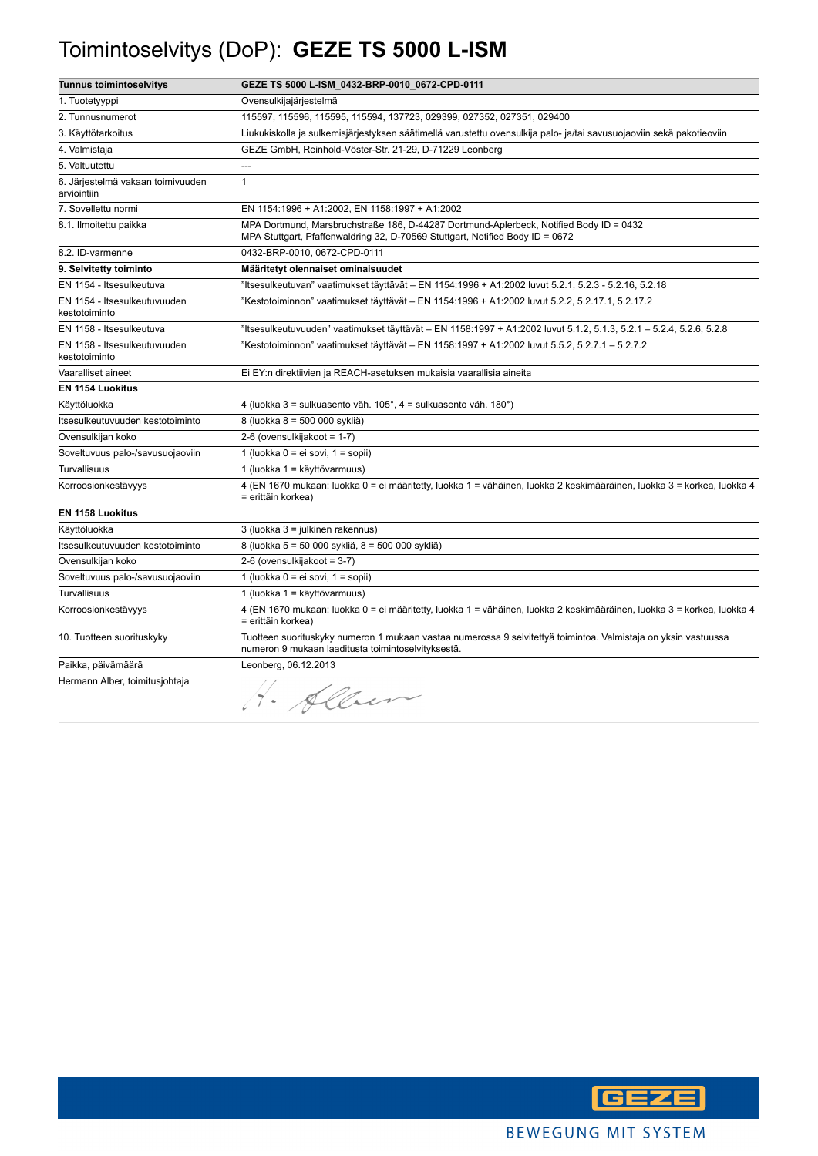### Toimintoselvitys (DoP): **GEZE TS 5000 L-ISM**

| <b>Tunnus toimintoselvitys</b>                   | GEZE TS 5000 L-ISM_0432-BRP-0010_0672-CPD-0111                                                                                                                          |
|--------------------------------------------------|-------------------------------------------------------------------------------------------------------------------------------------------------------------------------|
| 1. Tuotetyyppi                                   | Ovensulkijajärjestelmä                                                                                                                                                  |
| 2. Tunnusnumerot                                 | 115597, 115596, 115595, 115594, 137723, 029399, 027352, 027351, 029400                                                                                                  |
| 3. Käyttötarkoitus                               | Liukukiskolla ja sulkemisjärjestyksen säätimellä varustettu ovensulkija palo- ja/tai savusuojaoviin sekä pakotieoviin                                                   |
| 4. Valmistaja                                    | GEZE GmbH, Reinhold-Vöster-Str. 21-29, D-71229 Leonberg                                                                                                                 |
| 5. Valtuutettu                                   | ---                                                                                                                                                                     |
| 6. Järjestelmä vakaan toimivuuden<br>arviointiin | $\mathbf{1}$                                                                                                                                                            |
| 7. Sovellettu normi                              | EN 1154:1996 + A1:2002, EN 1158:1997 + A1:2002                                                                                                                          |
| 8.1. Ilmoitettu paikka                           | MPA Dortmund, Marsbruchstraße 186, D-44287 Dortmund-Aplerbeck, Notified Body ID = 0432<br>MPA Stuttgart, Pfaffenwaldring 32, D-70569 Stuttgart, Notified Body ID = 0672 |
| 8.2. ID-varmenne                                 | 0432-BRP-0010, 0672-CPD-0111                                                                                                                                            |
| 9. Selvitetty toiminto                           | Määritetyt olennaiset ominaisuudet                                                                                                                                      |
| EN 1154 - Itsesulkeutuva                         | ltsesulkeutuvan" vaatimukset täyttävät – EN 1154:1996 + A1:2002 luvut 5.2.1, 5.2.3 - 5.2.16, 5.2.18"                                                                    |
| EN 1154 - Itsesulkeutuvuuden<br>kestotoiminto    | "Kestotoiminnon" vaatimukset täyttävät - EN 1154:1996 + A1:2002 luvut 5.2.2, 5.2.17.1, 5.2.17.2                                                                         |
| EN 1158 - Itsesulkeutuva                         | 15.2.4, 5.2.4, 5.2.6, 5.2.8 Italyttävät – EN 1158:1997 + A1:2002 luvut 5.1.2, 5.1.3, 5.2.1 – 5.2.4, 5.2.6"                                                              |
| EN 1158 - Itsesulkeutuvuuden<br>kestotoiminto    | "Kestotoiminnon" vaatimukset täyttävät – EN 1158:1997 + A1:2002 luvut 5.5.2, 5.2.7.1 – 5.2.7.2                                                                          |
| Vaaralliset aineet                               | Ei EY:n direktiivien ja REACH-asetuksen mukaisia vaarallisia aineita                                                                                                    |
| <b>EN 1154 Luokitus</b>                          |                                                                                                                                                                         |
| Käyttöluokka                                     | 4 (luokka 3 = sulkuasento väh. 105°, 4 = sulkuasento väh. 180°)                                                                                                         |
| Itsesulkeutuvuuden kestotoiminto                 | 8 (luokka 8 = 500 000 sykliä)                                                                                                                                           |
| Ovensulkijan koko                                | 2-6 (ovensulkijakoot = 1-7)                                                                                                                                             |
| Soveltuvuus palo-/savusuojaoviin                 | 1 (luokka $0 = ei$ sovi, $1 = sopii$ )                                                                                                                                  |
| <b>Turvallisuus</b>                              | 1 (luokka 1 = käyttövarmuus)                                                                                                                                            |
| Korroosionkestävyys                              | 4 (EN 1670 mukaan: luokka 0 = ei määritetty, luokka 1 = vähäinen, luokka 2 keskimääräinen, luokka 3 = korkea, luokka 4<br>= erittäin korkea)                            |
| <b>EN 1158 Luokitus</b>                          |                                                                                                                                                                         |
| Käyttöluokka                                     | 3 (luokka 3 = julkinen rakennus)                                                                                                                                        |
| Itsesulkeutuvuuden kestotoiminto                 | 8 (luokka 5 = 50 000 sykliä, 8 = 500 000 sykliä)                                                                                                                        |
| Ovensulkijan koko                                | 2-6 (ovensulkijakoot = 3-7)                                                                                                                                             |
| Soveltuvuus palo-/savusuojaoviin                 | 1 (luokka $0 = ei$ sovi, $1 = sopii$ )                                                                                                                                  |
| Turvallisuus                                     | 1 (luokka 1 = käyttövarmuus)                                                                                                                                            |
| Korroosionkestävyys                              | 4 (EN 1670 mukaan: luokka 0 = ei määritetty, luokka 1 = vähäinen, luokka 2 keskimääräinen, luokka 3 = korkea, luokka 4<br>= erittäin korkea)                            |
| 10. Tuotteen suorituskyky                        | Tuotteen suorituskyky numeron 1 mukaan vastaa numerossa 9 selvitettyä toimintoa. Valmistaja on yksin vastuussa<br>numeron 9 mukaan laaditusta toimintoselvityksestä.    |
| Paikka, päivämäärä                               | Leonberg, 06.12.2013                                                                                                                                                    |
| Hermann Alber, toimitusjohtaja                   | H. Alben                                                                                                                                                                |

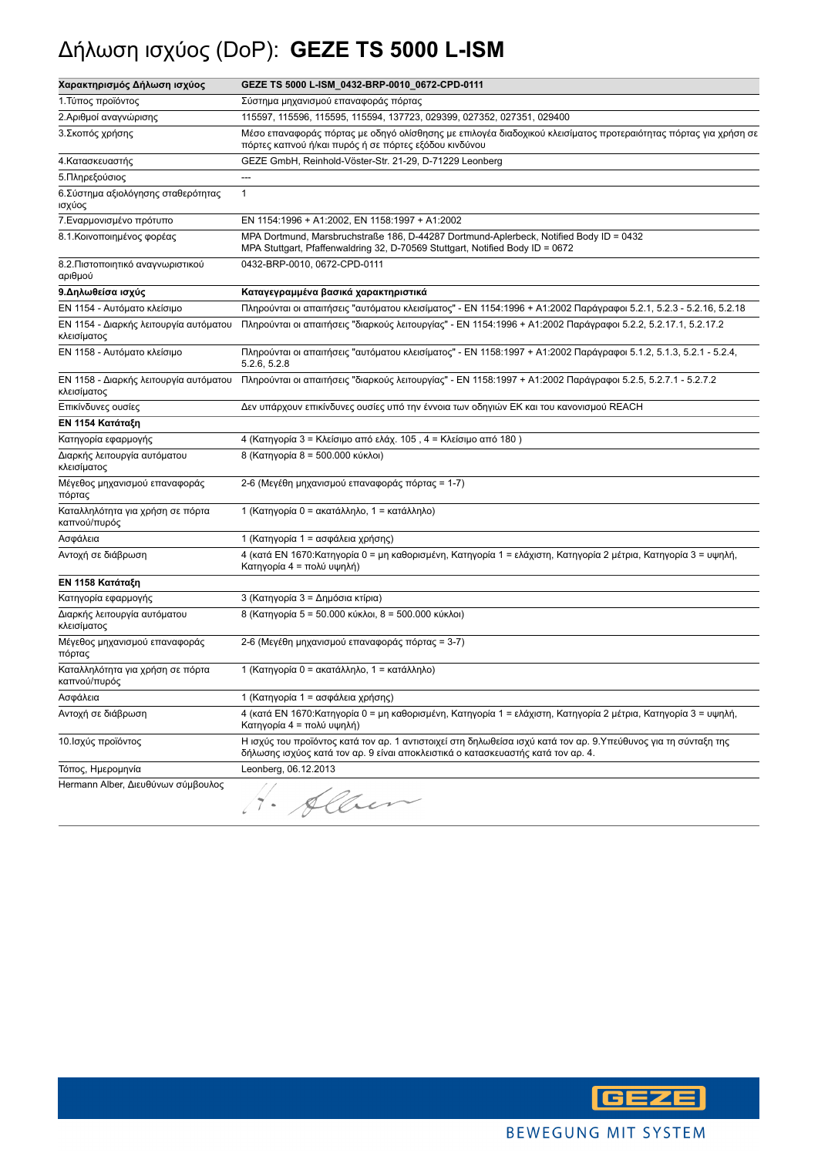### Δήλωση ισχύος (DoP): **GEZE TS 5000 L-ISM**

| Χαρακτηρισμός Δήλωση ισχύος                           | GEZE TS 5000 L-ISM_0432-BRP-0010_0672-CPD-0111                                                                                                                                                      |
|-------------------------------------------------------|-----------------------------------------------------------------------------------------------------------------------------------------------------------------------------------------------------|
| 1. Τύπος προϊόντος                                    | Σύστημα μηχανισμού επαναφοράς πόρτας                                                                                                                                                                |
| 2.Αριθμοί αναγνώρισης                                 | 115597, 115596, 115595, 115594, 137723, 029399, 027352, 027351, 029400                                                                                                                              |
| 3. Σκοπός χρήσης                                      | Μέσο επαναφοράς πόρτας με οδηγό ολίσθησης με επιλογέα διαδοχικού κλεισίματος προτεραιότητας πόρτας για χρήση σε<br>πόρτες καπνού ή/και πυρός ή σε πόρτες εξόδου κινδύνου                            |
| 4. Κατασκευαστής                                      | GEZE GmbH, Reinhold-Vöster-Str. 21-29, D-71229 Leonberg                                                                                                                                             |
| 5.Πληρεξούσιος                                        | $\qquad \qquad \cdots$                                                                                                                                                                              |
| 6. Σύστημα αξιολόγησης σταθερότητας<br>ισχύος         | $\mathbf{1}$                                                                                                                                                                                        |
| 7. Εναρμονισμένο πρότυπο                              | EN 1154:1996 + A1:2002. EN 1158:1997 + A1:2002                                                                                                                                                      |
| 8.1. Κοινοποιημένος φορέας                            | MPA Dortmund, Marsbruchstraße 186, D-44287 Dortmund-Aplerbeck, Notified Body ID = 0432<br>MPA Stuttgart, Pfaffenwaldring 32, D-70569 Stuttgart, Notified Body ID = 0672                             |
| 8.2. Πιστοποιητικό αναγνωριστικού<br>αριθμού          | 0432-BRP-0010, 0672-CPD-0111                                                                                                                                                                        |
| 9. Δηλωθείσα ισχύς                                    | Καταγεγραμμένα βασικά χαρακτηριστικά                                                                                                                                                                |
| ΕΝ 1154 - Αυτόματο κλείσιμο                           | Πληρούνται οι απαιτήσεις "αυτόματου κλεισίματος" - ΕΝ 1154:1996 + Α1:2002 Παράγραφοι 5.2.1, 5.2.3 - 5.2.16, 5.2.18                                                                                  |
| ΕΝ 1154 - Διαρκής λειτουργία αυτόματου<br>κλεισίματος | Πληρούνται οι απαιτήσεις "διαρκούς λειτουργίας" - ΕΝ 1154:1996 + Α1:2002 Παράγραφοι 5.2.2, 5.2.17.1, 5.2.17.2                                                                                       |
| ΕΝ 1158 - Αυτόματο κλείσιμο                           | Πληρούνται οι απαιτήσεις "αυτόματου κλεισίματος" - ΕΝ 1158:1997 + Α1:2002 Παράγραφοι 5.1.2, 5.1.3, 5.2.1 - 5.2.4,<br>5.2.6, 5.2.8                                                                   |
| ΕΝ 1158 - Διαρκής λειτουργία αυτόματου<br>κλεισίματος | Πληρούνται οι απαιτήσεις "διαρκούς λειτουργίας" - EN 1158:1997 + A1:2002 Παράγραφοι 5.2.5, 5.2.7.1 - 5.2.7.2                                                                                        |
| Επικίνδυνες ουσίες                                    | Δεν υπάρχουν επικίνδυνες ουσίες υπό την έννοια των οδηγιών ΕΚ και του κανονισμού REACH                                                                                                              |
| ΕΝ 1154 Κατάταξη                                      |                                                                                                                                                                                                     |
| Κατηγορία εφαρμογής                                   | 4 (Κατηγορία 3 = Κλείσιμο από ελάχ. 105, 4 = Κλείσιμο από 180)                                                                                                                                      |
| Διαρκής λειτουργία αυτόματου<br>κλεισίματος           | 8 (Κατηγορία 8 = 500.000 κύκλοι)                                                                                                                                                                    |
| Μέγεθος μηχανισμού επαναφοράς<br>πόρτας               | 2-6 (Μεγέθη μηχανισμού επαναφοράς πόρτας = 1-7)                                                                                                                                                     |
| Καταλληλότητα για χρήση σε πόρτα<br>καπνού/πυρός      | 1 (Κατηγορία 0 = ακατάλληλο, 1 = κατάλληλο)                                                                                                                                                         |
| Ασφάλεια                                              | 1 (Κατηγορία 1 = ασφάλεια χρήσης)                                                                                                                                                                   |
| Αντοχή σε διάβρωση                                    | 4 (κατά ΕΝ 1670:Κατηγορία 0 = μη καθορισμένη, Κατηγορία 1 = ελάχιστη, Κατηγορία 2 μέτρια, Κατηγορία 3 = υψηλή,<br>Κατηγορία 4 = πολύ υψηλή)                                                         |
| ΕΝ 1158 Κατάταξη                                      |                                                                                                                                                                                                     |
| Κατηγορία εφαρμογής                                   | 3 (Κατηγορία 3 = Δημόσια κτίρια)                                                                                                                                                                    |
| Διαρκής λειτουργία αυτόματου<br>κλεισίματος           | 8 (Κατηγορία 5 = 50.000 κύκλοι, 8 = 500.000 κύκλοι)                                                                                                                                                 |
| Μέγεθος μηχανισμού επαναφοράς<br>πόρτας               | 2-6 (Μεγέθη μηχανισμού επαναφοράς πόρτας = 3-7)                                                                                                                                                     |
| Καταλληλότητα για χρήση σε πόρτα<br>καπνού/πυρός      | 1 (Κατηγορία 0 = ακατάλληλο, 1 = κατάλληλο)                                                                                                                                                         |
| Ασφάλεια                                              | 1 (Κατηγορία 1 = ασφάλεια χρήσης)                                                                                                                                                                   |
| Αντοχή σε διάβρωση                                    | 4 (κατά ΕΝ 1670:Κατηγορία 0 = μη καθορισμένη, Κατηγορία 1 = ελάχιστη, Κατηγορία 2 μέτρια, Κατηγορία 3 = υψηλή,<br>Κατηγορία 4 = πολύ υψηλή)                                                         |
| 10. Ισχύς προϊόντος                                   | Η ισχύς του προϊόντος κατά τον αρ. 1 αντιστοιχεί στη δηλωθείσα ισχύ κατά τον αρ. 9.Υπεύθυνος για τη σύνταξη της<br>δήλωσης ισχύος κατά τον αρ. 9 είναι αποκλειστικά ο κατασκευαστής κατά τον αρ. 4. |
| Τόπος, Ημερομηνία                                     | Leonberg, 06.12.2013                                                                                                                                                                                |
| Hermann Alber, Διευθύνων σύμβουλος                    | Allen                                                                                                                                                                                               |

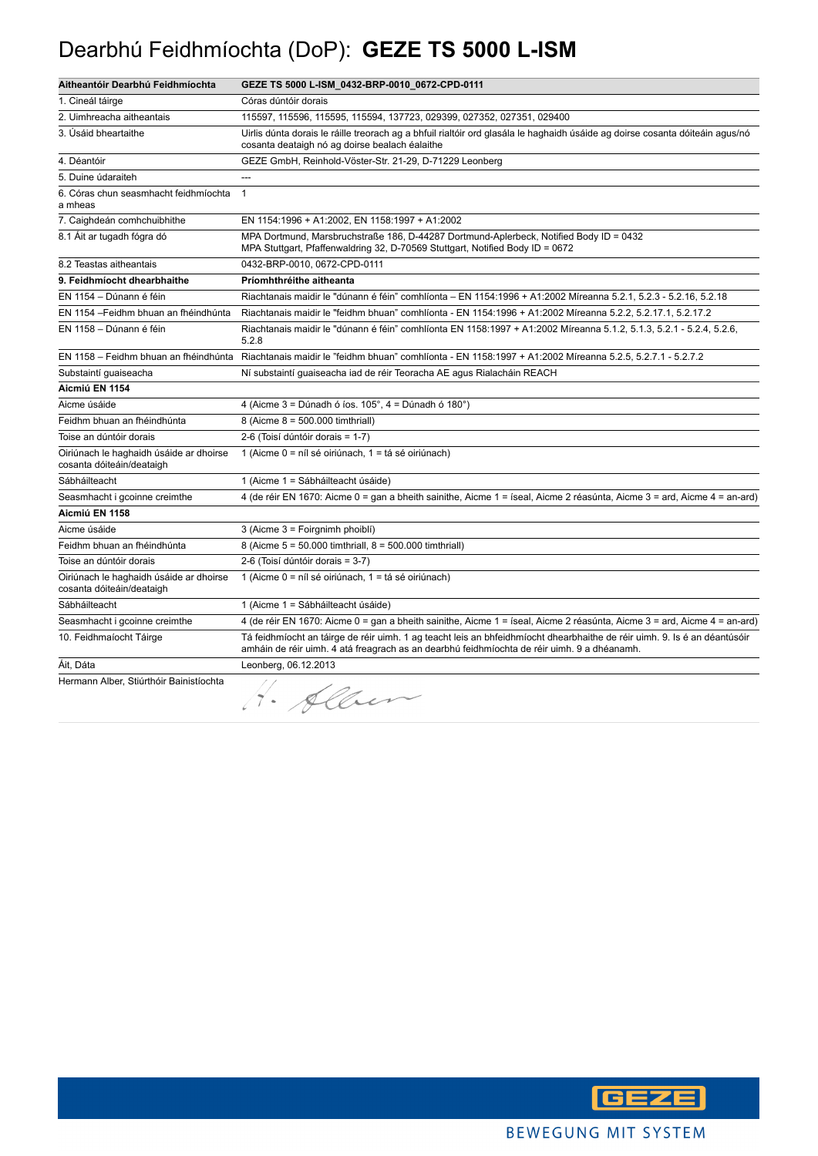### Dearbhú Feidhmíochta (DoP): **GEZE TS 5000 L-ISM**

| Aitheantóir Dearbhú Feidhmíochta                                     | GEZE TS 5000 L-ISM_0432-BRP-0010_0672-CPD-0111                                                                                                                                                                           |
|----------------------------------------------------------------------|--------------------------------------------------------------------------------------------------------------------------------------------------------------------------------------------------------------------------|
| 1. Cineál táirge                                                     | Córas dúntóir dorais                                                                                                                                                                                                     |
| 2. Uimhreacha aitheantais                                            | 115597, 115596, 115595, 115594, 137723, 029399, 027352, 027351, 029400                                                                                                                                                   |
| 3. Úsáid bheartaithe                                                 | Uirlis dúnta dorais le ráille treorach ag a bhfuil rialtóir ord glasála le haghaidh úsáide ag doirse cosanta dóiteáin agus/nó<br>cosanta deataigh nó ag doirse bealach éalaithe                                          |
| 4. Déantóir                                                          | GEZE GmbH, Reinhold-Vöster-Str. 21-29, D-71229 Leonberg                                                                                                                                                                  |
| 5. Duine údaraiteh                                                   | ---                                                                                                                                                                                                                      |
| 6. Córas chun seasmhacht feidhmíochta<br>a mheas                     | $\mathbf{1}$                                                                                                                                                                                                             |
| 7. Caighdeán comhchuibhithe                                          | EN 1154:1996 + A1:2002, EN 1158:1997 + A1:2002                                                                                                                                                                           |
| 8.1 Ait ar tugadh fógra dó                                           | MPA Dortmund, Marsbruchstraße 186, D-44287 Dortmund-Aplerbeck, Notified Body ID = 0432<br>MPA Stuttgart, Pfaffenwaldring 32, D-70569 Stuttgart, Notified Body ID = 0672                                                  |
| 8.2 Teastas aitheantais                                              | 0432-BRP-0010, 0672-CPD-0111                                                                                                                                                                                             |
| 9. Feidhmíocht dhearbhaithe                                          | Príomhthréithe aitheanta                                                                                                                                                                                                 |
| EN 1154 - Dúnann é féin                                              | Riachtanais maidir le "dúnann é féin" comhlíonta - EN 1154:1996 + A1:2002 Míreanna 5.2.1, 5.2.3 - 5.2.16, 5.2.18                                                                                                         |
| EN 1154 - Feidhm bhuan an fhéindhúnta                                | Riachtanais maidir le "feidhm bhuan" comhlíonta - EN 1154:1996 + A1:2002 Míreanna 5.2.2, 5.2.17.1, 5.2.17.2                                                                                                              |
| EN 1158 – Dúnann é féin                                              | Riachtanais maidir le "dúnann é féin" comhlíonta EN 1158:1997 + A1:2002 Míreanna 5.1.2, 5.1.3, 5.2.1 - 5.2.4, 5.2.6,<br>5.2.8                                                                                            |
|                                                                      | EN 1158 – Feidhm bhuan an fhéindhúnta Riachtanais maidir le "feidhm bhuan" comhlíonta - EN 1158:1997 + A1:2002 Míreanna 5.2.5, 5.2.7.1 - 5.2.7.2                                                                         |
| Substaintí guaiseacha                                                | Ní substaintí guaiseacha iad de réir Teoracha AE agus Rialacháin REACH                                                                                                                                                   |
| Aicmiú EN 1154                                                       |                                                                                                                                                                                                                          |
| Aicme úsáide                                                         | 4 (Aicme 3 = Dúnadh ó íos. $105^\circ$ , 4 = Dúnadh ó 180°)                                                                                                                                                              |
| Feidhm bhuan an fhéindhúnta                                          | 8 (Aicme 8 = 500.000 timthriall)                                                                                                                                                                                         |
| Toise an dúntóir dorais                                              | 2-6 (Toisí dúntóir dorais = 1-7)                                                                                                                                                                                         |
| Oiriúnach le haghaidh úsáide ar dhoirse<br>cosanta dóiteáin/deataigh | 1 (Aicme 0 = níl sé oiriúnach, 1 = tá sé oiriúnach)                                                                                                                                                                      |
| Sábháilteacht                                                        | 1 (Aicme 1 = Sábháilteacht úsáide)                                                                                                                                                                                       |
| Seasmhacht i gcoinne creimthe                                        | 4 (de réir EN 1670: Aicme 0 = gan a bheith sainithe, Aicme 1 = íseal, Aicme 2 réasúnta, Aicme 3 = ard, Aicme 4 = an-ard)                                                                                                 |
| Aicmiú EN 1158                                                       |                                                                                                                                                                                                                          |
| Aicme úsáide                                                         | 3 (Aicme 3 = Foirgnimh phoiblí)                                                                                                                                                                                          |
| Feidhm bhuan an fhéindhúnta                                          | 8 (Aicme 5 = 50.000 timthriall, 8 = 500.000 timthriall)                                                                                                                                                                  |
| Toise an dúntóir dorais                                              | 2-6 (Toisí dúntóir dorais = 3-7)                                                                                                                                                                                         |
| Oiriúnach le haghaidh úsáide ar dhoirse<br>cosanta dóiteáin/deataigh | 1 (Aicme 0 = níl sé oiriúnach, 1 = tá sé oiriúnach)                                                                                                                                                                      |
| Sábháilteacht                                                        | 1 (Aicme 1 = Sábháilteacht úsáide)                                                                                                                                                                                       |
| Seasmhacht i gcoinne creimthe                                        | 4 (de réir EN 1670: Aicme 0 = gan a bheith sainithe, Aicme 1 = íseal, Aicme 2 réasúnta, Aicme 3 = ard, Aicme 4 = an-ard)                                                                                                 |
| 10. Feidhmaíocht Táirge                                              | Tá feidhmíocht an táirge de réir uimh. 1 ag teacht leis an bhfeidhmíocht dhearbhaithe de réir uimh. 9. Is é an déantúsóir<br>amháin de réir uimh. 4 atá freagrach as an dearbhú feidhmíochta de réir uimh. 9 a dhéanamh. |
| Áit, Dáta                                                            | Leonberg, 06.12.2013                                                                                                                                                                                                     |
| Hermann Alber, Stiúrthóir Bainistíochta                              | 4. Alben                                                                                                                                                                                                                 |

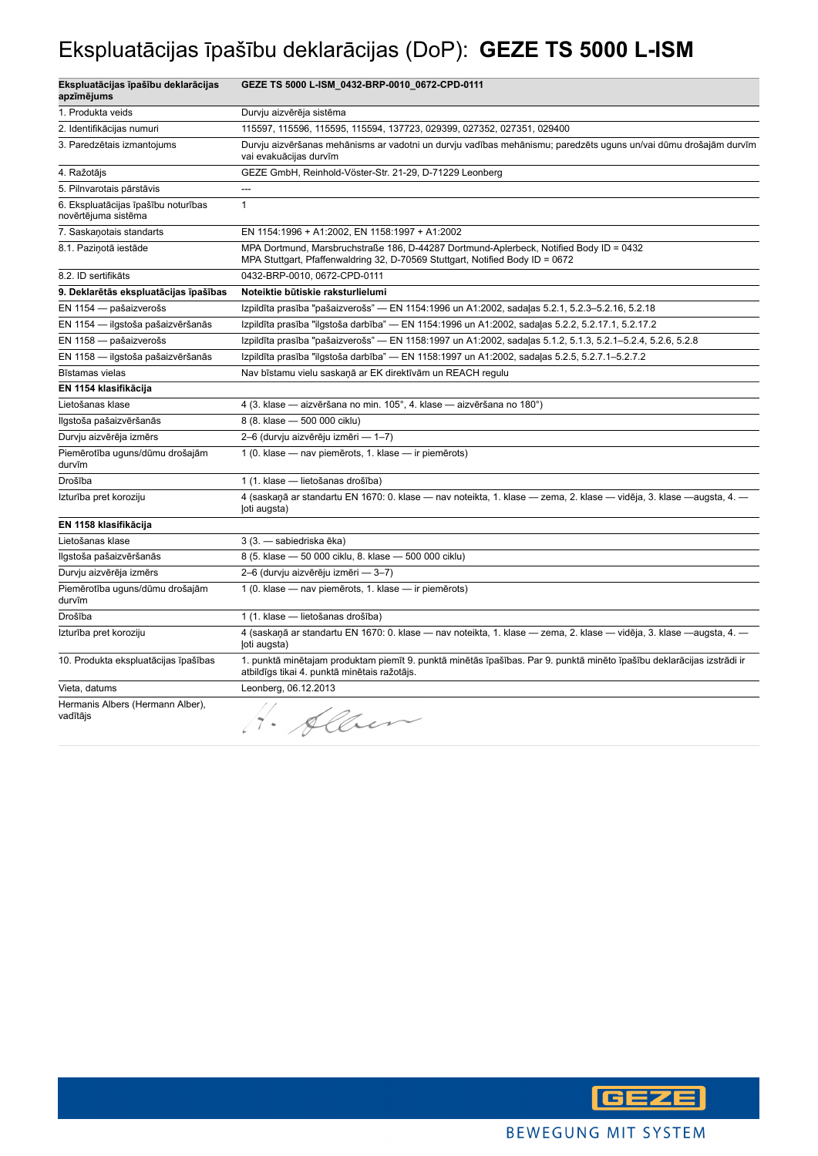### Ekspluatācijas īpašību deklarācijas (DoP): **GEZE TS 5000 L-ISM**

| Ekspluatācijas īpašību deklarācijas<br>apzīmējums          | GEZE TS 5000 L-ISM_0432-BRP-0010_0672-CPD-0111                                                                                                                          |
|------------------------------------------------------------|-------------------------------------------------------------------------------------------------------------------------------------------------------------------------|
| 1. Produkta veids                                          | Durvju aizvērēja sistēma                                                                                                                                                |
| 2. Identifikācijas numuri                                  | 115597, 115596, 115595, 115594, 137723, 029399, 027352, 027351, 029400                                                                                                  |
| 3. Paredzētais izmantojums                                 | Durvju aizvēršanas mehānisms ar vadotni un durvju vadības mehānismu; paredzēts uguns un/vai dūmu drošajām durvīm<br>vai evakuācijas durvīm                              |
| 4. Ražotājs                                                | GEZE GmbH, Reinhold-Vöster-Str. 21-29, D-71229 Leonberg                                                                                                                 |
| 5. Pilnvarotais pārstāvis                                  | ---                                                                                                                                                                     |
| 6. Ekspluatācijas īpašību noturības<br>novērtējuma sistēma | $\mathbf{1}$                                                                                                                                                            |
| 7. Saskaņotais standarts                                   | EN 1154:1996 + A1:2002, EN 1158:1997 + A1:2002                                                                                                                          |
| 8.1. Paziņotā iestāde                                      | MPA Dortmund, Marsbruchstraße 186, D-44287 Dortmund-Aplerbeck, Notified Body ID = 0432<br>MPA Stuttgart, Pfaffenwaldring 32, D-70569 Stuttgart, Notified Body ID = 0672 |
| 8.2. ID sertifikāts                                        | 0432-BRP-0010, 0672-CPD-0111                                                                                                                                            |
| 9. Deklarētās ekspluatācijas īpašības                      | Noteiktie būtiskie raksturlielumi                                                                                                                                       |
| EN 1154 - pašaizverošs                                     | Izpildīta prasība "pašaizverošs" — EN 1154:1996 un A1:2002, sadaļas 5.2.1, 5.2.3-5.2.16, 5.2.18                                                                         |
| EN 1154 - ilgstoša pašaizvēršanās                          | Izpildīta prasība "ilgstoša darbība" — EN 1154:1996 un A1:2002, sadaļas 5.2.2, 5.2.17.1, 5.2.17.2                                                                       |
| EN 1158 - pašaizverošs                                     | Izpildīta prasība "pašaizverošs" — EN 1158:1997 un A1:2002, sadaļas 5.1.2, 5.1.3, 5.2.1-5.2.4, 5.2.6, 5.2.8                                                             |
| EN 1158 - ilgstoša pašaizvēršanās                          | Izpildīta prasība "ilgstoša darbība" — EN 1158:1997 un A1:2002, sadaļas 5.2.5, 5.2.7.1-5.2.7.2                                                                          |
| Bīstamas vielas                                            | Nav bīstamu vielu saskaņā ar EK direktīvām un REACH regulu                                                                                                              |
| EN 1154 klasifikācija                                      |                                                                                                                                                                         |
| Lietošanas klase                                           | 4 (3. klase — aizvēršana no min. 105°, 4. klase — aizvēršana no 180°)                                                                                                   |
| Ilgstoša pašaizvēršanās                                    | 8 (8. klase - 500 000 ciklu)                                                                                                                                            |
| Durvju aizvērēja izmērs                                    | 2-6 (durvju aizvērēju izmēri - 1-7)                                                                                                                                     |
| Piemērotība uguns/dūmu drošajām<br>durvīm                  | 1 (0. klase - nav piemērots, 1. klase - ir piemērots)                                                                                                                   |
| Drošība                                                    | 1 (1. klase - lietošanas drošība)                                                                                                                                       |
| Izturība pret koroziju                                     | 4 (saskaņā ar standartu EN 1670: 0. klase — nav noteikta, 1. klase — zema, 2. klase — vidēja, 3. klase —augsta, 4. —<br>loti augsta)                                    |
| EN 1158 klasifikācija                                      |                                                                                                                                                                         |
| Lietošanas klase                                           | 3 (3. - sabiedriska ēka)                                                                                                                                                |
| Ilgstoša pašaizvēršanās                                    | 8 (5. klase - 50 000 ciklu, 8. klase -<br>- 500 000 ciklu)                                                                                                              |
| Durvju aizvērēja izmērs                                    | 2-6 (durvju aizvērēju izmēri - 3-7)                                                                                                                                     |
| Piemērotība uguns/dūmu drošajām<br>durvīm                  | 1 (0. klase - nav piemērots, 1. klase - ir piemērots)                                                                                                                   |
| Drošība                                                    | 1 (1. klase - lietošanas drošība)                                                                                                                                       |
| Izturība pret koroziju                                     | 4 (saskaņā ar standartu EN 1670: 0. klase — nav noteikta, 1. klase — zema, 2. klase — vidēja, 3. klase —augsta, 4. —<br>(oti augsta)                                    |
| 10. Produkta ekspluatācijas īpašības                       | 1. punktā minētajam produktam piemīt 9. punktā minētās īpašības. Par 9. punktā minēto īpašību deklarācijas izstrādi ir<br>atbildīgs tikai 4. punktā minētais ražotājs.  |
| Vieta, datums                                              | Leonberg, 06.12.2013                                                                                                                                                    |
| Hermanis Albers (Hermann Alber),<br>vadītājs               | H. Alben                                                                                                                                                                |

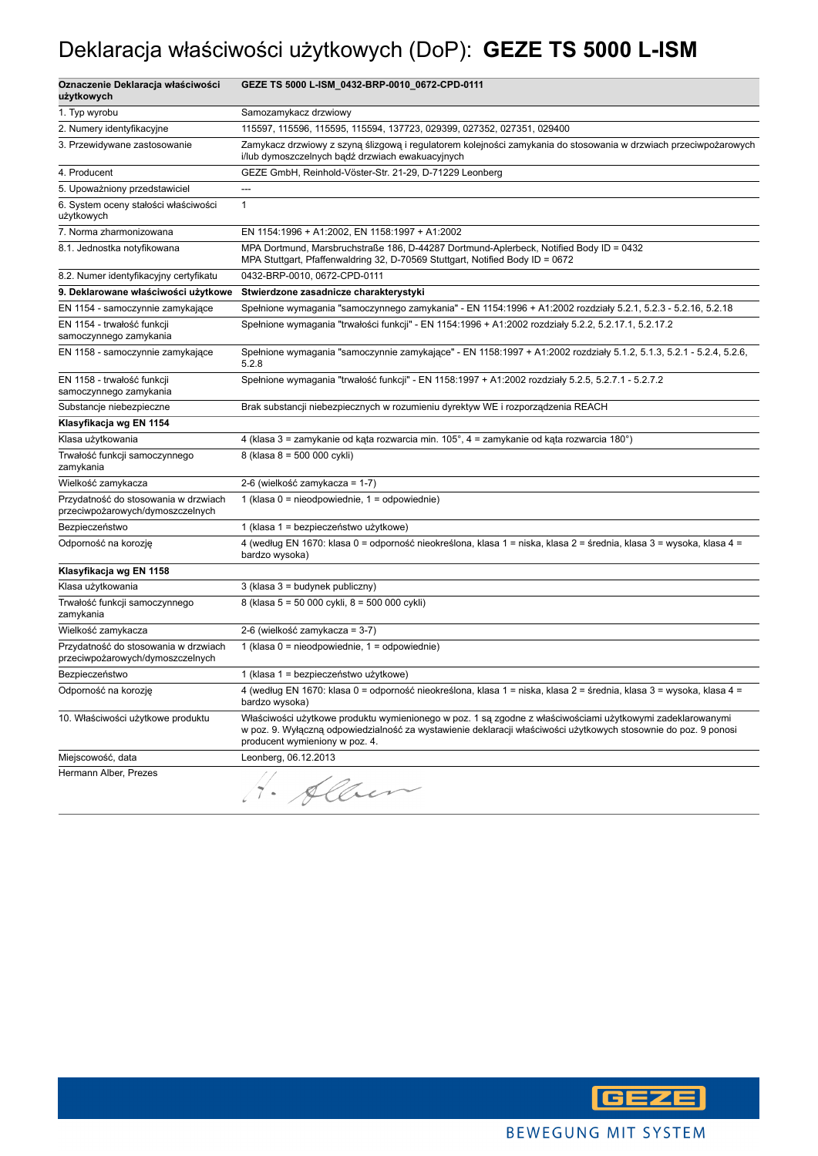### Deklaracja właściwości użytkowych (DoP): **GEZE TS 5000 L-ISM**

| Oznaczenie Deklaracja właściwości<br>użytkowych                          | GEZE TS 5000 L-ISM_0432-BRP-0010_0672-CPD-0111                                                                                                                                                                                                                 |
|--------------------------------------------------------------------------|----------------------------------------------------------------------------------------------------------------------------------------------------------------------------------------------------------------------------------------------------------------|
| 1. Typ wyrobu                                                            | Samozamykacz drzwiowy                                                                                                                                                                                                                                          |
| 2. Numery identyfikacyjne                                                | 115597, 115596, 115595, 115594, 137723, 029399, 027352, 027351, 029400                                                                                                                                                                                         |
| 3. Przewidywane zastosowanie                                             | Zamykacz drzwiowy z szyną ślizgową i regulatorem kolejności zamykania do stosowania w drzwiach przeciwpożarowych<br>i/lub dymoszczelnych bądź drzwiach ewakuacyjnych                                                                                           |
| 4. Producent                                                             | GEZE GmbH, Reinhold-Vöster-Str. 21-29, D-71229 Leonberg                                                                                                                                                                                                        |
| 5. Upoważniony przedstawiciel                                            | ---                                                                                                                                                                                                                                                            |
| 6. System oceny stałości właściwości<br>użytkowych                       | $\mathbf{1}$                                                                                                                                                                                                                                                   |
| 7. Norma zharmonizowana                                                  | EN 1154:1996 + A1:2002, EN 1158:1997 + A1:2002                                                                                                                                                                                                                 |
| 8.1. Jednostka notyfikowana                                              | MPA Dortmund, Marsbruchstraße 186, D-44287 Dortmund-Aplerbeck, Notified Body ID = 0432<br>MPA Stuttgart, Pfaffenwaldring 32, D-70569 Stuttgart, Notified Body ID = 0672                                                                                        |
| 8.2. Numer identyfikacyjny certyfikatu                                   | 0432-BRP-0010, 0672-CPD-0111                                                                                                                                                                                                                                   |
| 9. Deklarowane właściwości użytkowe                                      | Stwierdzone zasadnicze charakterystyki                                                                                                                                                                                                                         |
| EN 1154 - samoczynnie zamykające                                         | Spełnione wymagania "samoczynnego zamykania" - EN 1154:1996 + A1:2002 rozdziały 5.2.1, 5.2.3 - 5.2.16, 5.2.18                                                                                                                                                  |
| EN 1154 - trwałość funkcji<br>samoczynnego zamykania                     | Spełnione wymagania "trwałości funkcji" - EN 1154:1996 + A1:2002 rozdziały 5.2.2, 5.2.17.1, 5.2.17.2                                                                                                                                                           |
| EN 1158 - samoczynnie zamykające                                         | Spełnione wymagania "samoczynnie zamykające" - EN 1158:1997 + A1:2002 rozdziały 5.1.2, 5.1.3, 5.2.1 - 5.2.4, 5.2.6,<br>5.2.8                                                                                                                                   |
| EN 1158 - trwałość funkcji<br>samoczynnego zamykania                     | Spełnione wymagania "trwałość funkcji" - EN 1158:1997 + A1:2002 rozdziały 5.2.5, 5.2.7.1 - 5.2.7.2                                                                                                                                                             |
| Substancje niebezpieczne                                                 | Brak substancji niebezpiecznych w rozumieniu dyrektyw WE i rozporządzenia REACH                                                                                                                                                                                |
| Klasyfikacja wg EN 1154                                                  |                                                                                                                                                                                                                                                                |
| Klasa użytkowania                                                        | 4 (klasa 3 = zamykanie od kąta rozwarcia min. 105°, 4 = zamykanie od kąta rozwarcia 180°)                                                                                                                                                                      |
| Trwałość funkcji samoczynnego<br>zamykania                               | 8 (klasa 8 = 500 000 cykli)                                                                                                                                                                                                                                    |
| Wielkość zamykacza                                                       | 2-6 (wielkość zamykacza = 1-7)                                                                                                                                                                                                                                 |
| Przydatność do stosowania w drzwiach<br>przeciwpożarowych/dymoszczelnych | 1 (klasa $0 =$ nieodpowiednie, $1 =$ odpowiednie)                                                                                                                                                                                                              |
| Bezpieczeństwo                                                           | 1 (klasa 1 = bezpieczeństwo użytkowe)                                                                                                                                                                                                                          |
| Odporność na korozję                                                     | 4 (według EN 1670: klasa 0 = odporność nieokreślona, klasa 1 = niska, klasa 2 = średnia, klasa 3 = wysoka, klasa 4 =<br>bardzo wysoka)                                                                                                                         |
| Klasyfikacja wg EN 1158                                                  |                                                                                                                                                                                                                                                                |
| Klasa użytkowania                                                        | 3 (klasa 3 = budynek publiczny)                                                                                                                                                                                                                                |
| Trwałość funkcji samoczynnego<br>zamykania                               | 8 (klasa 5 = 50 000 cykli, 8 = 500 000 cykli)                                                                                                                                                                                                                  |
| Wielkość zamykacza                                                       | 2-6 (wielkość zamykacza = 3-7)                                                                                                                                                                                                                                 |
| Przydatność do stosowania w drzwiach<br>przeciwpożarowych/dymoszczelnych | 1 (klasa 0 = nieodpowiednie, 1 = odpowiednie)                                                                                                                                                                                                                  |
| Bezpieczeństwo                                                           | 1 (klasa 1 = bezpieczeństwo użytkowe)                                                                                                                                                                                                                          |
| Odporność na korozję                                                     | 4 (według EN 1670: klasa 0 = odporność nieokreślona, klasa 1 = niska, klasa 2 = średnia, klasa 3 = wysoka, klasa 4 =<br>bardzo wysoka)                                                                                                                         |
| 10. Właściwości użytkowe produktu                                        | Właściwości użytkowe produktu wymienionego w poz. 1 są zgodne z właściwościami użytkowymi zadeklarowanymi<br>w poz. 9. Wyłączną odpowiedzialność za wystawienie deklaracji właściwości użytkowych stosownie do poz. 9 ponosi<br>producent wymieniony w poz. 4. |
| Miejscowość, data                                                        | Leonberg, 06.12.2013                                                                                                                                                                                                                                           |
| Hermann Alber, Prezes                                                    | Nev                                                                                                                                                                                                                                                            |

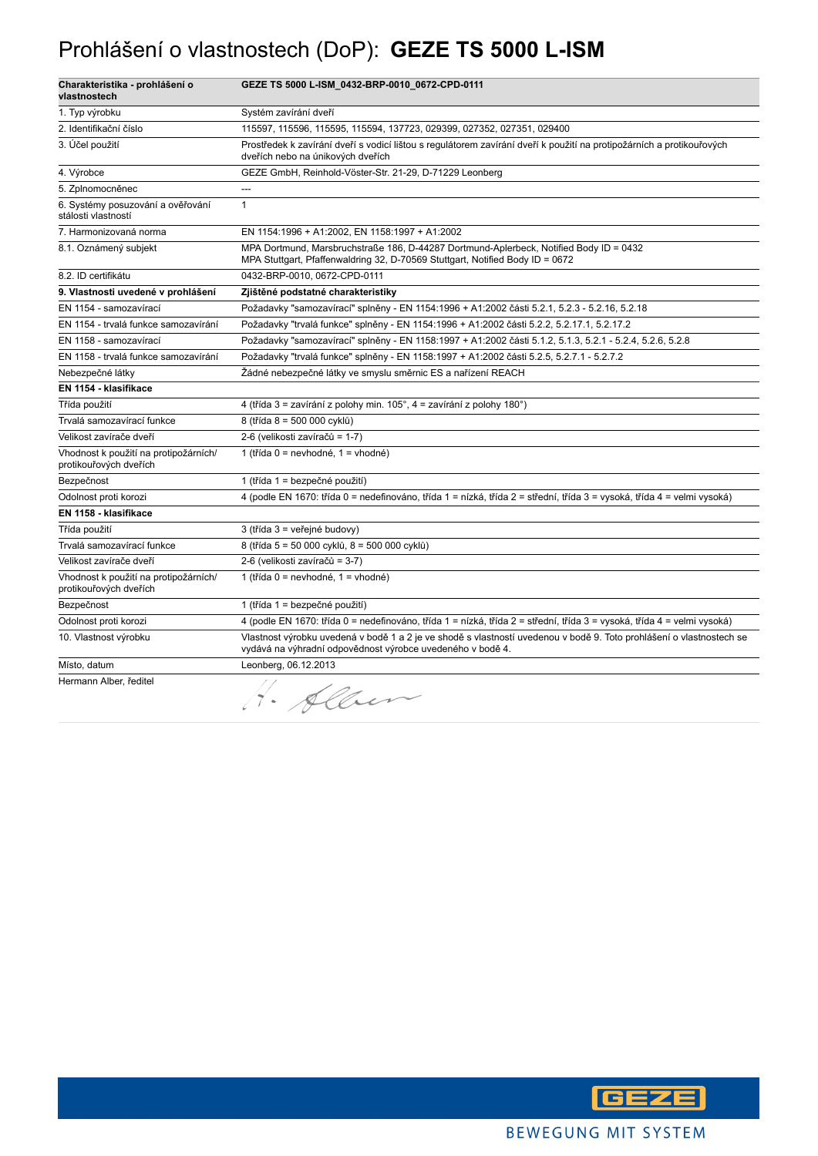### Prohlášení o vlastnostech (DoP): **GEZE TS 5000 L-ISM**

| Charakteristika - prohlášení o<br>vlastnostech                  | GEZE TS 5000 L-ISM_0432-BRP-0010_0672-CPD-0111                                                                                                                                     |
|-----------------------------------------------------------------|------------------------------------------------------------------------------------------------------------------------------------------------------------------------------------|
| 1. Typ výrobku                                                  | Systém zavírání dveří                                                                                                                                                              |
| 2. Identifikační číslo                                          | 115597, 115596, 115595, 115594, 137723, 029399, 027352, 027351, 029400                                                                                                             |
| 3. Účel použití                                                 | Prostředek k zavírání dveří s vodicí lištou s regulátorem zavírání dveří k použití na protipožárních a protikouřových<br>dveřích nebo na únikových dveřích                         |
| 4. Výrobce                                                      | GEZE GmbH, Reinhold-Vöster-Str. 21-29, D-71229 Leonberg                                                                                                                            |
| 5. Zplnomocněnec                                                | $\overline{a}$                                                                                                                                                                     |
| 6. Systémy posuzování a ověřování<br>stálosti vlastností        | $\mathbf{1}$                                                                                                                                                                       |
| 7. Harmonizovaná norma                                          | EN 1154:1996 + A1:2002, EN 1158:1997 + A1:2002                                                                                                                                     |
| 8.1. Oznámený subjekt                                           | MPA Dortmund, Marsbruchstraße 186, D-44287 Dortmund-Aplerbeck, Notified Body ID = 0432<br>MPA Stuttgart, Pfaffenwaldring 32, D-70569 Stuttgart, Notified Body ID = 0672            |
| 8.2. ID certifikátu                                             | 0432-BRP-0010, 0672-CPD-0111                                                                                                                                                       |
| 9. Vlastnosti uvedené v prohlášení                              | Zjištěné podstatné charakteristiky                                                                                                                                                 |
| EN 1154 - samozavírací                                          | Požadavky "samozavírací" splněny - EN 1154:1996 + A1:2002 části 5.2.1, 5.2.3 - 5.2.16, 5.2.18                                                                                      |
| EN 1154 - trvalá funkce samozavírání                            | Požadavky "trvalá funkce" splněny - EN 1154:1996 + A1:2002 části 5.2.2, 5.2.17.1, 5.2.17.2                                                                                         |
| EN 1158 - samozavírací                                          | Požadavky "samozavírací" splněny - EN 1158:1997 + A1:2002 části 5.1.2, 5.1.3, 5.2.1 - 5.2.4, 5.2.6, 5.2.8                                                                          |
| EN 1158 - trvalá funkce samozavírání                            | Požadavky "trvalá funkce" splněny - EN 1158:1997 + A1:2002 části 5.2.5, 5.2.7.1 - 5.2.7.2                                                                                          |
| Nebezpečné látky                                                | Žádné nebezpečné látky ve smyslu směrnic ES a nařízení REACH                                                                                                                       |
| EN 1154 - klasifikace                                           |                                                                                                                                                                                    |
| Třída použití                                                   | 4 (třída 3 = zavírání z polohy min. 105°, 4 = zavírání z polohy 180°)                                                                                                              |
| Trvalá samozavírací funkce                                      | 8 (třída 8 = 500 000 cyklů)                                                                                                                                                        |
| Velikost zavírače dveří                                         | 2-6 (velikosti zavíračů = 1-7)                                                                                                                                                     |
| Vhodnost k použití na protipožárních/<br>protikouřových dveřích | 1 (třída 0 = nevhodné, 1 = vhodné)                                                                                                                                                 |
| Bezpečnost                                                      | 1 (třída 1 = bezpečné použití)                                                                                                                                                     |
| Odolnost proti korozi                                           | 4 (podle EN 1670: třída 0 = nedefinováno, třída 1 = nízká, třída 2 = střední, třída 3 = vysoká, třída 4 = velmi vysoká)                                                            |
| EN 1158 - klasifikace                                           |                                                                                                                                                                                    |
| Třída použití                                                   | 3 (třída 3 = veřejné budovy)                                                                                                                                                       |
| Trvalá samozavírací funkce                                      | 8 (třída 5 = 50 000 cyklů, 8 = 500 000 cyklů)                                                                                                                                      |
| Velikost zavírače dveří                                         | 2-6 (velikosti zavíračů = 3-7)                                                                                                                                                     |
| Vhodnost k použití na protipožárních/<br>protikouřových dveřích | 1 (třída 0 = nevhodné, 1 = vhodné)                                                                                                                                                 |
| Bezpečnost                                                      | 1 (třída 1 = bezpečné použití)                                                                                                                                                     |
| Odolnost proti korozi                                           | 4 (podle EN 1670: třída 0 = nedefinováno, třída 1 = nízká, třída 2 = střední, třída 3 = vysoká, třída 4 = velmi vysoká)                                                            |
| 10. Vlastnost výrobku                                           | Vlastnost výrobku uvedená v bodě 1 a 2 je ve shodě s vlastností uvedenou v bodě 9. Toto prohlášení o vlastnostech se<br>vydává na výhradní odpovědnost výrobce uvedeného v bodě 4. |
| Místo, datum                                                    | Leonberg, 06.12.2013                                                                                                                                                               |
| Hermann Alber, ředitel                                          | H. Alber                                                                                                                                                                           |

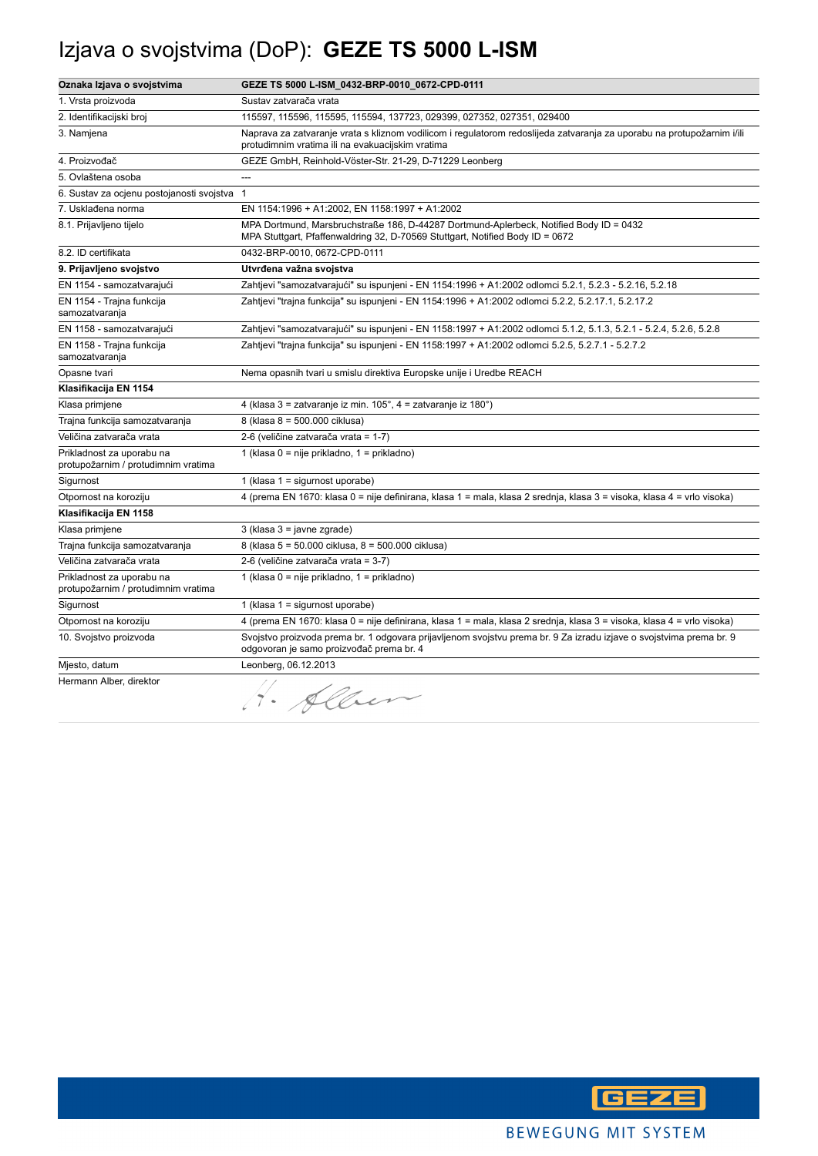# Izjava o svojstvima (DoP): **GEZE TS 5000 L-ISM**

| Oznaka Izjava o svojstvima                                       | GEZE TS 5000 L-ISM_0432-BRP-0010_0672-CPD-0111                                                                                                                             |
|------------------------------------------------------------------|----------------------------------------------------------------------------------------------------------------------------------------------------------------------------|
| 1. Vrsta proizvoda                                               | Sustav zatvarača vrata                                                                                                                                                     |
| 2. Identifikacijski broj                                         | 115597, 115596, 115595, 115594, 137723, 029399, 027352, 027351, 029400                                                                                                     |
| 3. Namjena                                                       | Naprava za zatvaranje vrata s kliznom vodilicom i regulatorom redoslijeda zatvaranja za uporabu na protupožarnim i/ili<br>protudimnim vratima ili na evakuacijskim vratima |
| 4. Proizvođač                                                    | GEZE GmbH, Reinhold-Vöster-Str. 21-29, D-71229 Leonberg                                                                                                                    |
| 5. Ovlaštena osoba                                               | ---                                                                                                                                                                        |
| 6. Sustav za ocjenu postojanosti svojstva                        | $\mathbf{1}$                                                                                                                                                               |
| 7. Usklađena norma                                               | EN 1154:1996 + A1:2002, EN 1158:1997 + A1:2002                                                                                                                             |
| 8.1. Prijavljeno tijelo                                          | MPA Dortmund, Marsbruchstraße 186, D-44287 Dortmund-Aplerbeck, Notified Body ID = 0432<br>MPA Stuttgart, Pfaffenwaldring 32, D-70569 Stuttgart, Notified Body ID = 0672    |
| 8.2. ID certifikata                                              | 0432-BRP-0010, 0672-CPD-0111                                                                                                                                               |
| 9. Prijavljeno svojstvo                                          | Utvrđena važna svojstva                                                                                                                                                    |
| EN 1154 - samozatvarajući                                        | Zahtjevi "samozatvarajući" su ispunjeni - EN 1154:1996 + A1:2002 odlomci 5.2.1, 5.2.3 - 5.2.16, 5.2.18                                                                     |
| EN 1154 - Trajna funkcija<br>samozatvaranja                      | Zahtjevi "trajna funkcija" su ispunjeni - EN 1154:1996 + A1:2002 odlomci 5.2.2, 5.2.17.1, 5.2.17.2                                                                         |
| EN 1158 - samozatvarajući                                        | Zahtjevi "samozatvarajući" su ispunjeni - EN 1158:1997 + A1:2002 odlomci 5.1.2, 5.1.3, 5.2.1 - 5.2.4, 5.2.6, 5.2.8                                                         |
| EN 1158 - Trajna funkcija<br>samozatvaranja                      | Zahtjevi "trajna funkcija" su ispunjeni - EN 1158:1997 + A1:2002 odlomci 5.2.5, 5.2.7.1 - 5.2.7.2                                                                          |
| Opasne tvari                                                     | Nema opasnih tvari u smislu direktiva Europske unije i Uredbe REACH                                                                                                        |
| Klasifikacija EN 1154                                            |                                                                                                                                                                            |
| Klasa primjene                                                   | 4 (klasa 3 = zatvaranje iz min. $105^\circ$ , 4 = zatvaranje iz $180^\circ$ )                                                                                              |
| Trajna funkcija samozatvaranja                                   | 8 (klasa 8 = 500.000 ciklusa)                                                                                                                                              |
| Veličina zatvarača vrata                                         | 2-6 (veličine zatvarača vrata = 1-7)                                                                                                                                       |
| Prikladnost za uporabu na<br>protupožarnim / protudimnim vratima | 1 (klasa 0 = nije prikladno, 1 = prikladno)                                                                                                                                |
| Sigurnost                                                        | 1 (klasa $1 =$ sigurnost uporabe)                                                                                                                                          |
| Otpornost na koroziju                                            | 4 (prema EN 1670: klasa 0 = nije definirana, klasa 1 = mala, klasa 2 srednja, klasa 3 = visoka, klasa 4 = vrlo visoka)                                                     |
| Klasifikacija EN 1158                                            |                                                                                                                                                                            |
| Klasa primjene                                                   | 3 (klasa 3 = javne zgrade)                                                                                                                                                 |
| Trajna funkcija samozatvaranja                                   | 8 (klasa 5 = 50.000 ciklusa, 8 = 500.000 ciklusa)                                                                                                                          |
| Veličina zatvarača vrata                                         | 2-6 (veličine zatvarača vrata = 3-7)                                                                                                                                       |
| Prikladnost za uporabu na<br>protupožarnim / protudimnim vratima | 1 (klasa 0 = nije prikladno, 1 = prikladno)                                                                                                                                |
| Sigurnost                                                        | 1 (klasa $1 =$ sigurnost uporabe)                                                                                                                                          |
| Otpornost na koroziju                                            | 4 (prema EN 1670: klasa 0 = nije definirana, klasa 1 = mala, klasa 2 srednja, klasa 3 = visoka, klasa 4 = vrlo visoka)                                                     |
| 10. Svojstvo proizvoda                                           | Svojstvo proizvoda prema br. 1 odgovara prijavljenom svojstvu prema br. 9 Za izradu izjave o svojstvima prema br. 9<br>odgovoran je samo proizvođač prema br. 4            |
| Mjesto, datum                                                    | Leonberg, 06.12.2013                                                                                                                                                       |
| Hermann Alber, direktor                                          | Alber                                                                                                                                                                      |